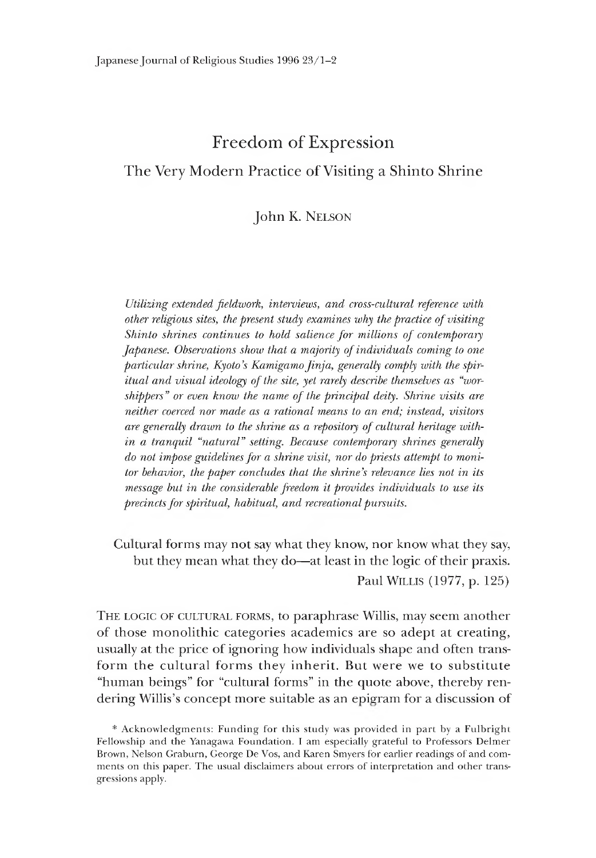# Freedom of Expression

# The Very Modern Practice of Visiting a Shinto Shrine

# John K. Nelson

*Utilizing extended fieldwork, interviews, and cross-cultural reference with other religious sites, the present study examines why the practice of visiting Shinto shrines continues to hold salience for millions of contemporary Japanese. Observations show that a majority of individuals coming to one* particular shrine, Kyoto's Kamigamo *Jinja*, generally comply with the spir*itual and visual ideology of the site, yet rarely describe themselves as "worshippers" or even know the name of the principal deity. Shrine visits are neither coerced nor made as a rational means to an end; instead, visitors are generally drawn to the shrine as a repository of cultural heritage within a tranquil "natural" setting. Because contemporary shrines generally do not impose guidelines for a shrine visit, nor do priests attempt to monitor behavior, the paper concludes that the shrine's relevance lies not in its message but in the considerable freedom it provides individuals to use its precincts for spiritual, habitual, and recreational pursuits.*

Cultural forms may not say what they know, nor know what they say, but they mean what they do— at least in the logic of their praxis. Paul WILLIS (1977, p. 125)

THE LOGIC OF CULTURAL FORMS, to paraphrase Willis, may seem another of those monolithic categories academics are so adept at creating, usually at the price of ignoring how individuals shape and often transform the cultural forms they inherit. But were we to substitute "human beings" for "cultural forms" in the quote above, thereby rendering Willis's concept more suitable as an epigram for a discussion of

<sup>\*</sup> Acknowledgments: Funding for this study was provided in part by a Fulbright Fellowship and the Yanagawa Foundation. I am especially grateful to Professors Delmer Brown, Nelson Graburn, George De Vos, and Karen Smyers for earlier readings of and comments on this paper. The usual disclaimers about errors of interpretation and other transgressions apply.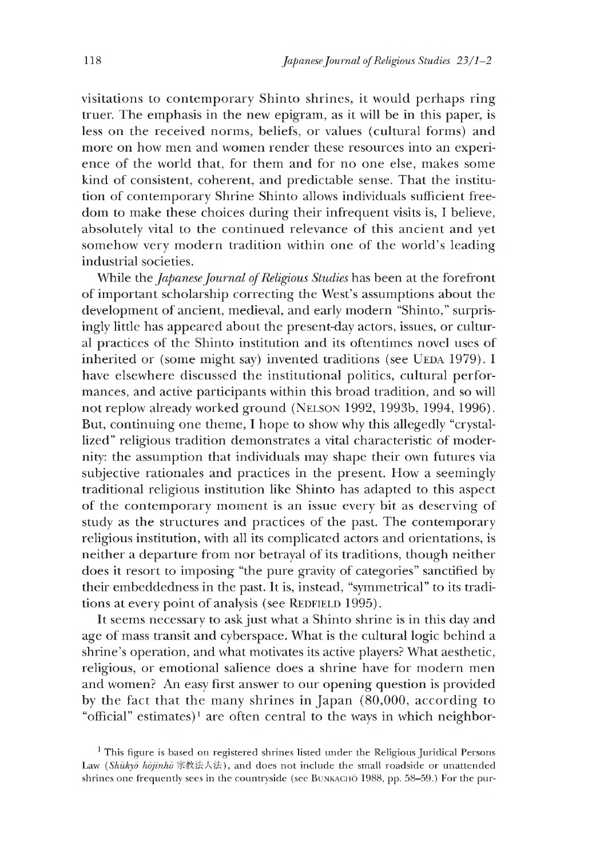visitations to contemporary Shinto shrines, it would perhaps ring truer. The emphasis in the new epigram, as it will be in this paper, is less on the received norms, beliefs, or values (cultural forms) and more on how men and women render these resources into an experience of the world that, for them and for no one else, makes some kind of consistent, coherent, and predictable sense. That the institution of contemporary Shrine Shinto allows individuals sufficient freedom to make these choices during their infrequent visits is, I believe, absolutely vital to the continued relevance of this ancient and yet somehow very modern tradition within one of the world's leading industrial societies.

While the *Japanese Journal of Religious Studies* has been at the forefront of important scholarship correcting the West's assumptions about the development of ancient, medieval, and early modern "Shinto," surprisingly little has appeared about the present-day actors, issues, or cultural practices of the Shinto institution and its oftentimes novel uses of inherited or (some might say) invented traditions (see UEDA 1979). I have elsewhere discussed the institutional politics, cultural performances, and active participants within this broad tradition, and so will not replow already worked ground (NELSON 1992, 1993b, 1994, 1996). But, continuing one theme, I hope to show why this allegedly "crystallized" religious tradition demonstrates a vital characteristic of modernity: the assumption that individuals may shape their own futures via subjective rationales and practices in the present. How a seemingly traditional religious institution like Shinto has adapted to this aspect of the contemporary moment is an issue every bit as deserving of study as the structures and practices of the past. The contemporary religious institution, with all its complicated actors and orientations, is neither a departure from nor betrayal of its traditions, though neither does it resort to imposing "the pure gravity of categories" sanctified by their embeddedness in the past. It is, instead, "symmetrical" to its traditions at every point of analysis (see REDFIELD 1995).

It seems necessary to ask just what a Shinto shrine is in this day and age of mass transit and cyberspace. What is the cultural logic behind a shrine's operation, and what motivates its active players? What aesthetic, religious, or emotional salience does a shrine have for modern men and women? An easy first answer to our opening question is provided by the fact that the many shrines in Japan  $(80,000, \arccos$  according to "official" estimates)<sup>1</sup> are often central to the ways in which neighbor-

<sup>&</sup>lt;sup>1</sup> This figure is based on registered shrines listed under the Religious Juridical Persons Law *(Shukyō hōjinhō* 宗教法人法), and does not include the small roadside or unattended shrines one frequently sees in the countryside (see BUNKACHO 1988, pp. 58–59.) For the pur-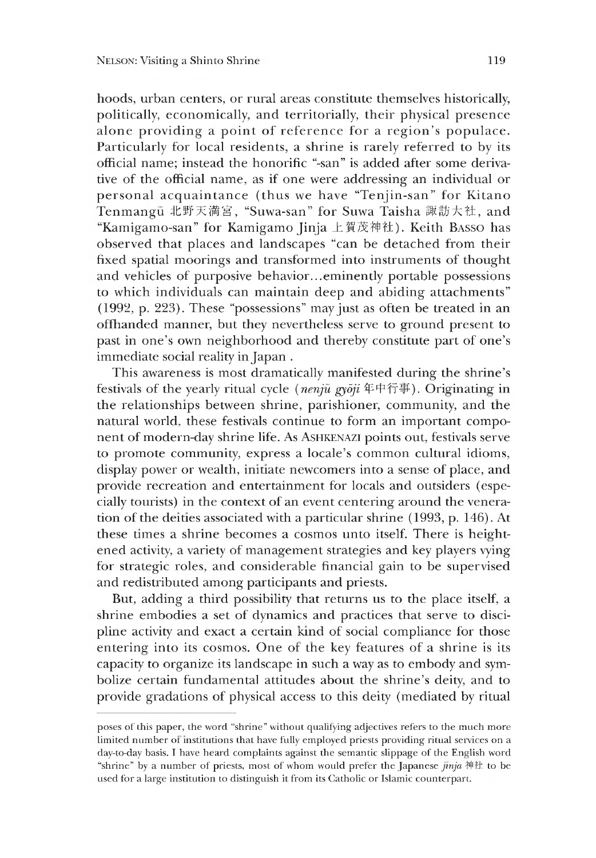hoods, urban centers, or rural areas constitute themselves historically, politically, economically, and territorially, their physical presence alone providing a point of reference for a region's populace. Particularly for local residents, a shrine is rarely referred to by its official name; instead the honorific "-san" is added after some derivative of the official name, as if one were addressing an individual or personal acquaintance (thus we have "Tenjin-san" for Kitano Tenmangū 北野天満宮, "Suwa-san" for Suwa Taisha 諏訪大社, and "Kamigamo-san" for Kamigamo Jinja 上賀茂ネ申社). Keith Basso has observed that places and landscapes "can be detached from their fixed spatial moorings and transformed into instruments of thought and vehicles of purposive behavior...eminently portable possessions to which individuals can maintain deep and abiding attachments" (1992, p. 223). These "possessions" may just as often be treated in an offhanded manner, but they nevertheless serve to ground present to past in one's own neighborhood and thereby constitute part of one's immediate social reality in Japan .

This awareness is most dramatically manifested during the shrine's festivals of the yearly ritual cycle *(nenju gydji* 年中行事) . Originatine in the relationships between shrine, parishioner, community, and the natural world, these festivals continue to form an important component of modern-day shrine life. As ASHKENAZI points out, festivals serve to promote community, express a locale's common cultural idioms, display power or wealth, initiate newcomers into a sense of place, and provide recreation and entertainment for locals and outsiders (especially tourists) in the context of an event centering around the veneration of the deities associated with a particular shrine (1993, p. 146). At these times a shrine becomes a cosmos unto itself. There is heiehtened activity, a variety of management strategies and key players vying for strategic roles, and considerable financial gain to be supervised and redistributed among participants and priests.

But, adding a third possibility that returns us to the place itself, a shrine embodies a set of dynamics and practices that serve to discipline activity and exact a certain Kind of social compliance for those entering into its cosmos. One of the key features of a shrine is its capacity to organize its landscape in such a way as to embody and symbolize certain fundamental attitudes about the shrine's deity, and to provide gradations of physical access to this deity (mediated by ritual

poses of this paper, the word "shrine" without qualifying adjectives refers to the much more limited number or institutions that have fully employed priests providing ritual services on a day-to-day basis. I have heard complaints against the semantic slippage of the English word "shrine" by a number of priests, most of whom would prefer the Japanese *jinja* ネ申社 to be used for a large institution to distinguish it from its Catholic or Islamic counterpart.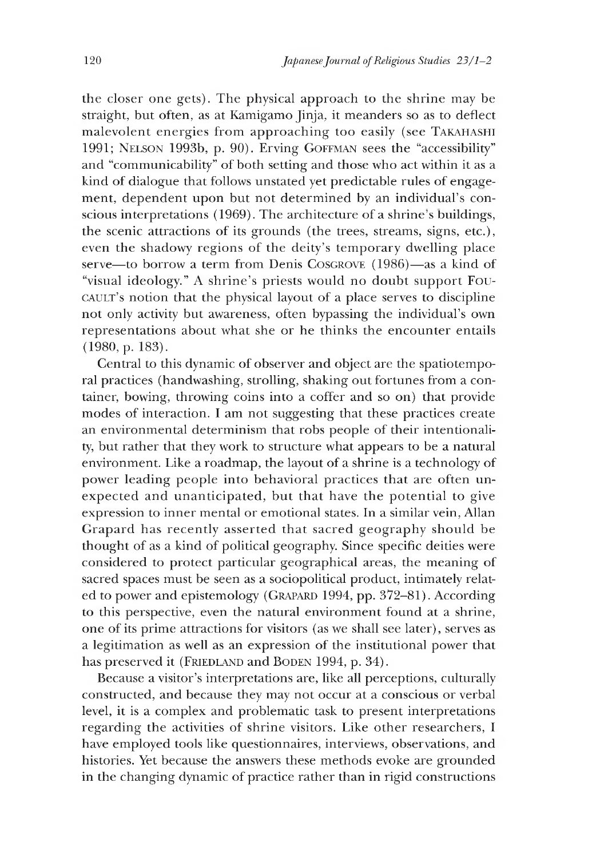the closer one gets). The physical approach to the shrine may be straight, but often, as at Kamigamo Jinja, it meanders so as to deflect malevolent energies from approaching too easily (see Takahashi 1991; Nelson 1993b, p. 90). Erving Goffman sees the "accessibility" and "communicability" of both setting and those who act within it as a kind of dialogue that follows unstated yet predictable rules of engagement, dependent upon but not determined by an individual's conscious interpretations (1969). The architecture of a shrine's buildings, the scenic attractions of its grounds (the trees, streams, signs, etc.), even the shadowy regions of the deity's temporary dwelling place serve—to borrow a term from Denis Coscrove (1986)—as a kind of "visual ideology." A shrine's priests would no doubt support Foucault's notion that the physical layout of a place serves to discipline not only activity but awareness, often bypassing the individual's own representations about what she or he thinks the encounter entails  $(1980, p. 183).$ 

Central to this dynamic of observer and object are the spatiotemporal practices (handwashing, strolling, shaking out fortunes from a container, bowing, throwing coins into a coffer and so on) that provide modes of interaction. I am not suggesting that these practices create an environmental determinism that robs people of their intentionality, but rather that they work to structure what appears to be a natural environment. Like a roadmap, the layout of a shrine is a technology of power leading people into behavioral practices that are often unexpected and unanticipated, but that have the potential to give expression to inner mental or emotional states. In a similar vein, Allan Grapard has recently asserted that sacred geography should be thought of as a kind of political geography. Since specific deities were considered to protect particular geographical areas, the meaning of sacred spaces must be seen as a sociopolitical product, intimately related to power and epistemology (GRAPARD 1994, pp. 372-81). According to this perspective, even the natural environment found at a shrine, one of its prime attractions for visitors (as we shall see later), serves as a legitimation as well as an expression of the institutional power that has preserved it (FRIEDLAND and BODEN 1994, p. 34).

Because a visitor's interpretations are, like all perceptions, culturally constructed, and because they may not occur at a conscious or verbal level, it is a complex and problematic task to present interpretations regarding the activities of shrine visitors. Like other researchers, I have employed tools like questionnaires, interviews, observations, and histories. Yet because the answers these methods evoke are grounded in the changing dynamic of practice rather than in rigid constructions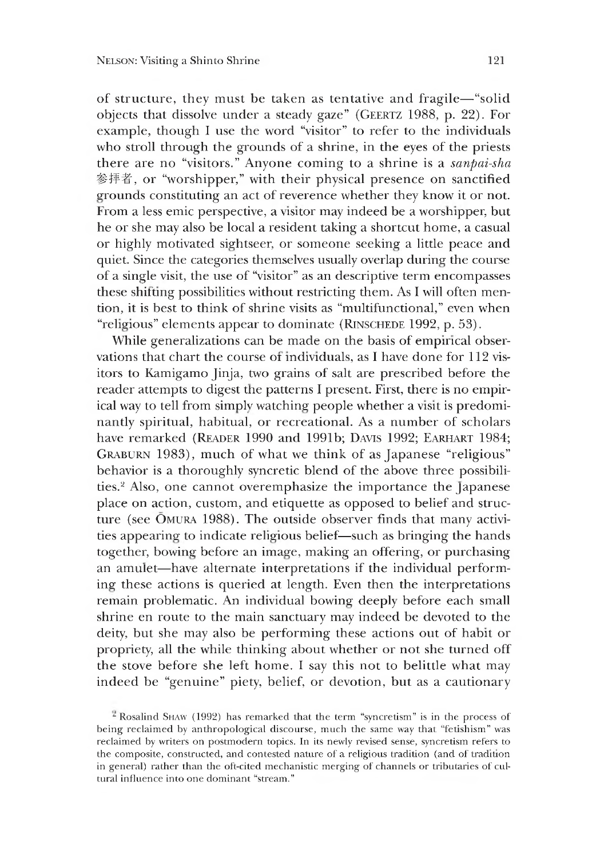of structure, they must be taken as tentative and fragile— "solid objects that dissolve under a steady gaze" (GEERTZ 1988, p. 22). For example, though I use the word "visitor" to refer to the individuals who stroll through the grounds of a shrine, in the eyes of the priests there are no "visitors." Anyone coming to a shrine is a *sanpai-sha* 参拝者,or "worshipper," with their physical presence on sanctified grounds constituting an act of reverence whether they know it or not. From a less emic perspective, a visitor may indeed be a worshipper, but he or she may also be local a resident taking a shortcut home, a casual or highly motivated sightseer, or someone seeking a little peace and quiet. Since the categories themselves usually overlap during the course of a single visit, the use of "visitor" as an descriptive term encompasses these shitting possibilities without restricting them. As I will often mention, it is best to think of shrine visits as "multifunctional," even when "religious" elements appear to dominate (RINSCHEDE 1992, p. 53).

While generalizations can be made on the basis of empirical observations that chart the course of individuals, as I have done for 112 visitors to Kamigamo Jinja, two grains of salt are prescribed before the reader attempts to digest the patterns I present. First, there is no empirical way to tell from simply watching people whether a visit is predominantly spiritual, habitual, or recreational. As a number of scholars have remarked (READER 1990 and 1991b; DAVIS 1992; EARHART 1984; GRABURN 1983), much of what we think of as Japanese "religious" behavior is a thoroughly syncretic blend of the above three possibilities.2 Also, one cannot overemphasize the importance the Japanese place on action, custom, and etiquette as opposed to belief and structure (see OMURA 1988). The outside observer finds that many activities appearing to indicate religious belief—such as bringing the hands together, bowine before an image, making an offering, or purchasing an amulet—have alternate interpretations if the individual performing these actions is queried at length. Even then the interpretations remain problematic. An individual bowing deeply before each small shrine en route to the main sanctuary may indeed be devoted to the deity, but she may also be performing these actions out of haoit or propriety, all the while thinking about whether or not she turned off the stove before she left home. I say this not to belittle what may indeed be "genuine" piety, belief, or devotion, but as a cautionary

<sup>&</sup>lt;sup>2</sup> Rosalind SHAW (1992) has remarked that the term "syncretism" is in the process of being reclaimed by anthropological discourse, much the same way that "fetishism" was reclaimed by writers on postmodern topics. In its newly revised sense, syncretism refers to the composite, constructed, and contested nature of a religious tradition (and of tradition in general) rather than the oft-cited mechanistic merging of channels or tributaries of cultural influence into one dominant "stream."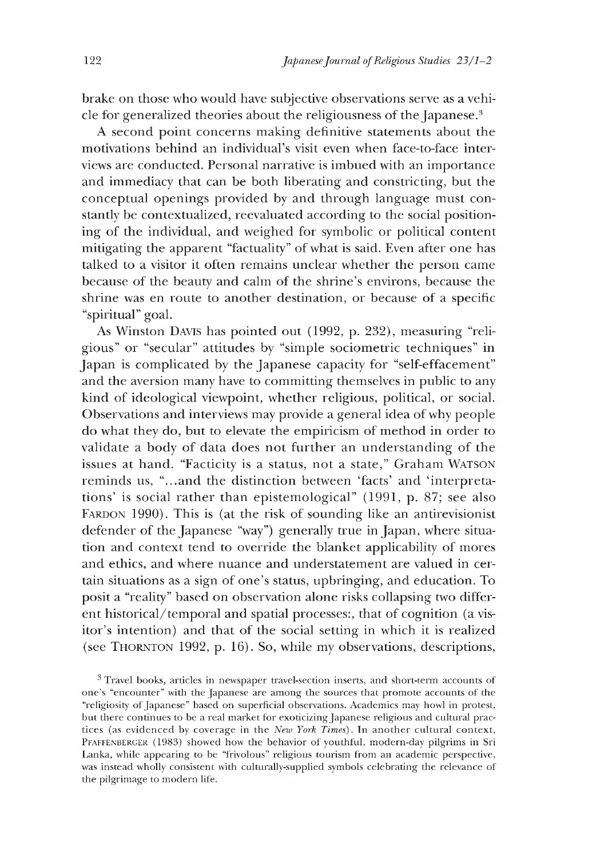brake on those who would have subjective observations serve as a vehicle for generalized theories about the religiousness of the Japanese.<sup>3</sup>

A second point concerns making definitive statements about the motivations behind an individual's visit even when face-to-face interviews are conducted. Personal narrative is imbued with an importance and immediacy that can be both liberating and constricting, but the conceptual openings provided by and through language must constantly be contextualized, reevaluated according to the social positioning of the individual, and weighed for symbolic or political content mitigating the apparent "factuality" of what is said. Even after one has talked to a visitor it often remains unclear whether the person came because of the beauty and calm of the shrine's environs, because the shrine was en route to another destination, or because of a specific "spiritual" goal.

As Winston Davis has pointed out (1992, p. 232), measuring "religious" or "secular" attitudes by "simple sociometric techniques" in Japan is complicated by the Japanese capacity for "self-effacement" and the aversion many have to committing themselves in public to any kind of ideological viewpoint, whether religious, political, or social. Observations and interviews may provide a general idea of why people do what they do, but to elevate the empiricism of method in order to validate a body of data does not further an understanding of the issues at hand. "Facticity is a status, not a state," Graham WATSON reminds us, "...and the distinction between 'facts' and 'interpretations' is social rather than epistemological" (1991, p. 87; see also FARDON 1990). This is (at the risk of sounding like an antirevisionist defender of the Japanese "way") generally true in Japan, where situation and context tend to override the blanket applicability of mores and ethics, and where nuance and understatement are valued in certain situations as a sign of one's status, upbringing, and education. To posit a "reality" based on observation alone risks collapsing two different historical/temporal and spatial processes:, that of cognition (a visitor's intention) and that of the social setting in which it is realized (see Thornton 1992, p. 16). So, while my observations, descriptions,

3 Travel books, articles in newspaper travel-section inserts, and short-term accounts of one's "encounter" with the Japanese are among the sources that promote accounts of the "religiosity of Japanese" based on superficial observations. Academics may howl in protest, but there continues to be a real market for exoticizing Japanese religious and cultural practices (as evidenced by coverage in the *New York Times).* In another cultural context, PFAFFENBERGER (1983) showed how the behavior of youthful, modern-day pilgrims in Sri Lanka, while appearing to be "frivolous" religious tourism from an academic perspective, was instead wholly consistent with culturally-supplied symbols celebrating the relevance of the pilgrimage to modern life.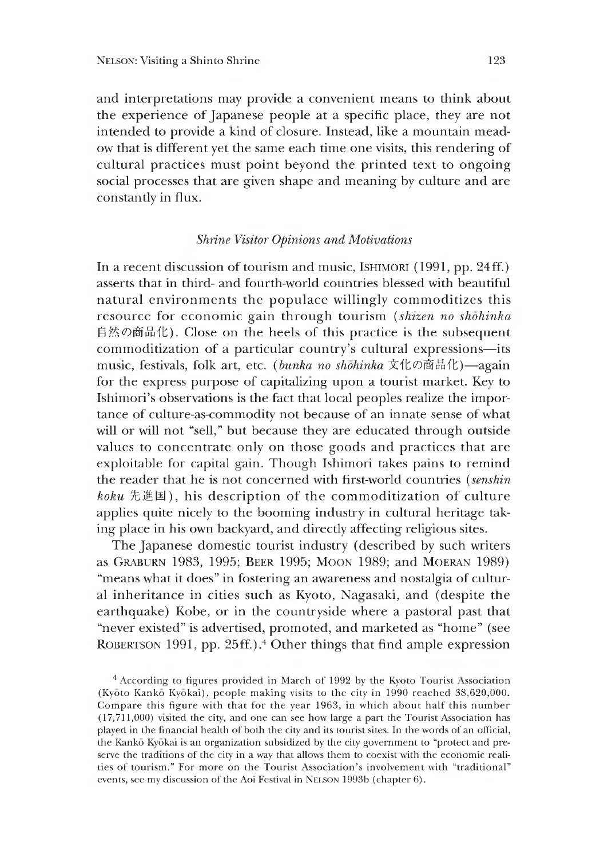and interpretations may provide a convenient means to think about the experience of Japanese people at a specific place, they are not intended to provide a kind of closure. Instead, like a mountain meadow that is different yet the same each time one visits, this rendering of cultural practices must point beyond the printed text to ongoing social processes that are given shape and meaning by culture and are constantly in flux.

### *Shrine Visitor Opinions and Motivations*

In a recent discussion of tourism and music, ISHIMORI (1991, pp. 24ff.) asserts that in third- and fourth-world countries blessed with beautiful natural environments the populace willingly commoditizes this resource for economic gain through tourism *(shizen no shohinka* 自然の商品化). Close on the heels of this practice is the subsequent commoditization of a particular country's cultural expressions—its music, festivals, folk art, etc. *(bunka no shōhinka* 文化の商品化)—again for the express purpose of capitalizing upon a tourist market. Kev to Ishimori's observations is the fact that local peoples realize the importance of culture-as-commodity not because of an innate sense of what will or will not "sell," but because they are educated through outside values to concentrate only on those goods and practices that are exploitable for capital gain. Though Ishimori takes pains to remind the reader that he is not concerned with first-world countries *(senshin*  $koku$  先進国), his description of the commoditization of culture applies quite nicely to the booming industry in cultural heritage taking place in his own backyard, and directly affecting relieious sites.

The Japanese domestic tourist industry (described by such writers as Graburn 1983 1995; Beer 1995; Moon 1989; and Moeran 1989) "means what it does" in fostering an awareness and nostalgia of cultural inheritance in cities such as Kyoto, Nagasaki, and (despite the earthquake) Kobe, or in the countryside where a pastoral past that "never existed" is advertised, promoted, and marketed as "home" (see Robertson 1991, pp. 25ff.).4 Other things that find ample expression

<sup>4</sup> According" to figures provided in March of 1992 by the Kyoto Tourist Association (Kyoto Kanko Kyokai), people making visits to the city in 1990 reached 38,620,000. Compare this figure with that for the year 1963, in which about half this number (17,711,000) visited the city, and one can see how large a part the Tourist Association has played in the financial health of both the city and its tourist sites. In the words of an official, the Kanko Kyokai is an organization subsidized by the city government to "protect and preserve the traditions of the city in a way that allows them to coexist with the economic realities of tourism." For more on the Tourist Association's involvement with "traditional" events, see my discussion of the Aoi Festival in Nelson 1993b (chapter 6).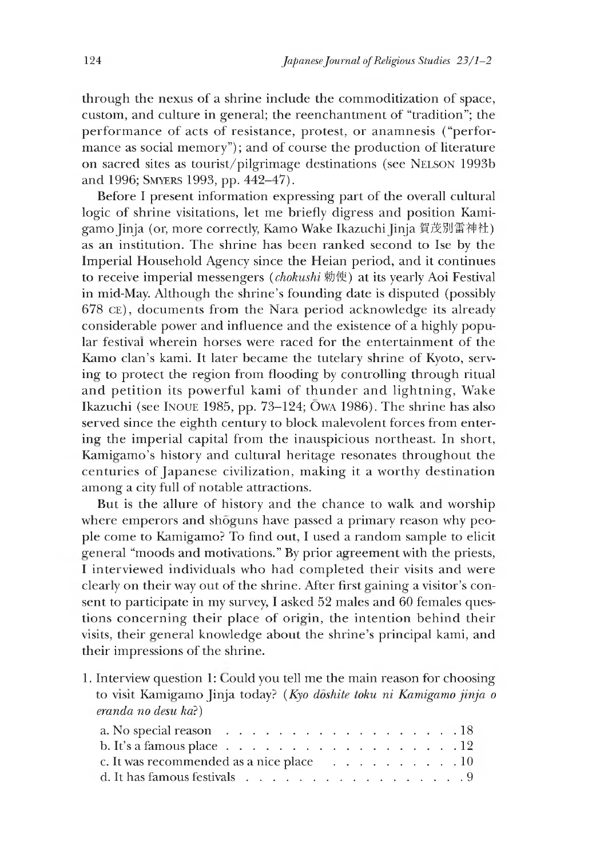through the nexus of a shrine include the commoditization of space, custom, and culture in general; the reenchantment of "tradition"; the performance of acts of resistance, protest, or anamnesis ("performance as social memory"); and of course the production of literature on sacred sites as tourist/pilgrimage destinations (see Nelson 1993b and 1996; SMYERS 1993, pp. 442-47).

Before I present information expressing part of the overall cultural logic of shrine visitations, let me briefly digress and position Kamigamo Jinja (or, more correctly, Kamo Wake Ikazuchi Jinja 賀茂別雷神社) as an institution. The shrine has been ranked second to Ise by the Imperial Household Agency since the Heian period, and it continues to receive imperial messengers *(chokushi* 勅使) at its yearly Aoi Festival in mid-May. Although the shrine's founding date is disputed (possibly 678 ce), documents from the Nara period acknowledge its already considerable power and influence and the existence of a highly popular festival wherein horses were raced for the entertainment of the Kamo clan's kami. It later became the tutelary shrine of Kyoto, serving' to protect the region from flooding by controlling through ritual and petition its powerful kami of thunder and lightning, Wake Ikazuchi (see INOUE 1985, pp.  $73-124$ ; OWA 1986). The shrine has also served since the eighth century to block malevolent forces from enterine the imperial capital from the inauspicious northeast. In short, Kamigamo's history and cultural heritage resonates throughout the centuries of Japanese civilization, making it a worthy destination among a city full of notable attractions.

But is the allure of history and the chance to walk and worship where emperors and shoguns have passed a primary reason why people come to Kamigamo? To find out, I used a random sample to elicit general "moods and motivations." By prior aereement with the priests, I interviewed individuals who had completed their visits and were clearly on their way out of the shrine. After first gaining a visitor's consent to participate in my survey, I asked 52 males and 60 females questions concerning their place of origin, the intention behind their visits, their general knowledge about the shrine's principal kami, and their impressions of the shrine.

1. Interview question 1: Could you tell me the main reason for choosing to visit Kamigamo Jinja today? *(Kyo doshite toku ni Kamigamo jinja o eranda no desu ka?)*

| a. No special reason $\ldots \ldots \ldots \ldots \ldots \ldots \ldots \ldots 18$              |  |  |  |  |  |  |  |  |  |
|------------------------------------------------------------------------------------------------|--|--|--|--|--|--|--|--|--|
| b. It's a famous place $\ldots$ $\ldots$ $\ldots$ $\ldots$ $\ldots$ $\ldots$ $\ldots$ $\ldots$ |  |  |  |  |  |  |  |  |  |
| c. It was recommended as a nice place $\ldots$ 10                                              |  |  |  |  |  |  |  |  |  |
| d. It has famous festivals $\ldots$ 9                                                          |  |  |  |  |  |  |  |  |  |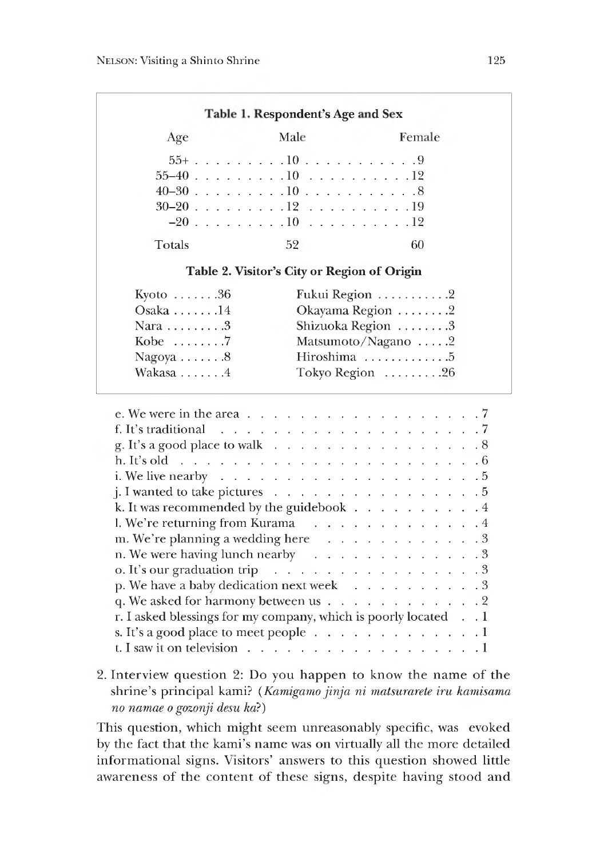| Age                                                                                                               | Male                                        | Female             |
|-------------------------------------------------------------------------------------------------------------------|---------------------------------------------|--------------------|
|                                                                                                                   |                                             |                    |
|                                                                                                                   |                                             |                    |
|                                                                                                                   |                                             |                    |
|                                                                                                                   |                                             |                    |
|                                                                                                                   |                                             |                    |
| Totals                                                                                                            | 52                                          | 60                 |
|                                                                                                                   | Table 2. Visitor's City or Region of Origin |                    |
| Kyoto $\dots 36$                                                                                                  |                                             | Fukui Region 2     |
| Osaka $\dots$ . $14$                                                                                              |                                             | Okayama Region 2   |
| Nara $\dots \dots 3$                                                                                              |                                             | Shizuoka Region 3  |
| Kobe $\dots \dots$ . 7                                                                                            |                                             | Matsumoto/Nagano 2 |
| Nagoya $\dots 8$                                                                                                  |                                             | Hiroshima 5        |
| Wakasa 4                                                                                                          |                                             | Tokyo Region 26    |
| e. We were in the area $\ldots$ $\ldots$ $\ldots$ $\ldots$ $\ldots$ $\ldots$ $\ldots$ $\ldots$ $\ldots$           |                                             |                    |
|                                                                                                                   |                                             |                    |
| g. It's a good place to walk 8                                                                                    |                                             |                    |
|                                                                                                                   |                                             |                    |
|                                                                                                                   |                                             |                    |
|                                                                                                                   |                                             |                    |
|                                                                                                                   |                                             |                    |
|                                                                                                                   |                                             |                    |
| k. It was recommended by the guidebook 4                                                                          |                                             |                    |
| j. I wanted to take pictures $\ldots$ 5<br>1. We're returning from Kurama 4<br>m. We're planning a wedding here 3 |                                             |                    |

| 2. Interview question 2: Do you happen to know the name of the       |
|----------------------------------------------------------------------|
| shrine's principal kami? (Kamigamo jinja ni matsurarete iru kamisama |
| no namae o gozonji desu ka?)                                         |

o. *It's* our graduation t r i p ............................................................3 p. We have a baby dedication next w e e k ....................................3 q. We asked for harmony between us  $\ldots \ldots \ldots \ldots$ . r. I asked blessings for my company, which is poorly located . . 1 s. It's a good place to meet people................................................1 t. I saw it on television....................................................................1

This question, which might seem unreasonably specific, was evoked by the fact that the kami's name was on virtually all the more detailed informational signs. Visitors' answers to this question showed little awareness of the content of these signs, despite having stood and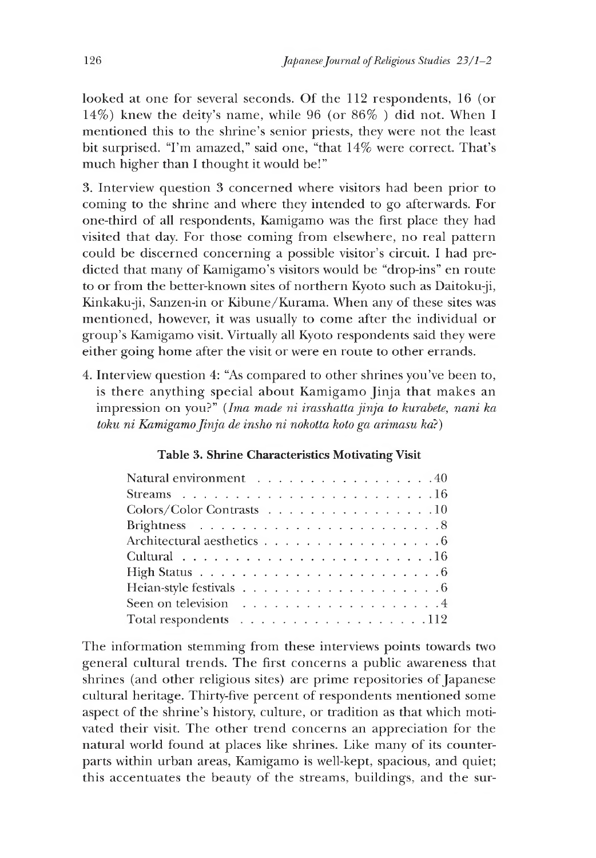looked at one for several seconds. Of the 112 respondents,16 (or 14%) knew the deity's name, while 96 (or 86% ) did not. When I mentioned this to the shrine's senior priests, they were not the least bit surprised. "I'm amazed," said one, "that 14% were correct. That's much higher than I thought it would be!"

3. Interview question 3 concerned where visitors had been prior to coming to the shrine and where they intended to go afterwards. For one-third of all respondents, Kamigamo was the first place they had visited that day. For those coming from elsewhere, no real pattern could be discerned concerning a possible visitor's circuit. I had predicted that many of Kamigamo's visitors would be "drop-ins" en route to or from the better-known sites of northern Kyoto such as Daitoku-ji, Kinkaku-ji, Sanzen-in or Kibune/Kurama. When any of these sites was mentioned, however, it was usually to come after the individual or group's Kamigamo visit. Virtually all Kyoto respondents said they were either going home after the visit or were en route to other errands.

4. Interview question 4: "As compared to other shrines you've been to, is there anything special about Kamigamo Jinja that makes an impression on you?" *(Ima made ni irasshatta jinja to kurabete, nani ka toku ni Kamigamo Jinja de insho ni nokotta koto ga arimasu ka?)*

# Table 3. Shrine Characteristics Motivating Visit

| Natural environment 40                                                      |
|-----------------------------------------------------------------------------|
| Streams $\ldots \ldots \ldots \ldots \ldots \ldots \ldots \ldots \ldots 16$ |
| Colors/Color Contrasts 10                                                   |
|                                                                             |
| Architectural aesthetics 6                                                  |
|                                                                             |
|                                                                             |
|                                                                             |
|                                                                             |
|                                                                             |

The information stemming from these interviews points towards two general cultural trends. The first concerns a public awareness that shrines (and other religious sites) are prime repositories of Japanese cultural heritage. Thirty-five percent of respondents mentioned some aspect of the shrine's history, culture, or tradition as that which motivated their visit. The other trend concerns an appreciation for the natural world found at places like shrines. Like many of its counterparts within urban areas, Kamigamo is well-kept, spacious, and quiet; this accentuates the beauty of the streams, buildings, and the sur-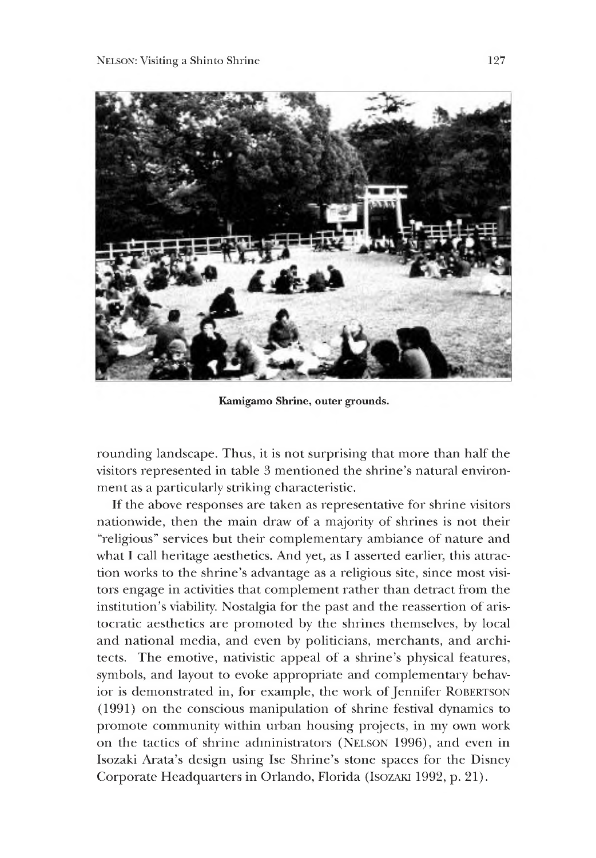

**Kamigamo Shrine, outer grounds.**

rounding landscape. Thus, it is not surprising that more than half the visitors represented in table 3 mentioned the shrine's natural environment as a particularly striking characteristic.

If the above responses are taken as representative for shrine visitors nationwide, then the main draw of a majority of shrines is not their "religious" services but their complementary ambiance of nature and what I call heritage aesthetics. And yet, as I asserted earlier, this attraction works to the shrine's advantage as a religious site, since most visitors engage in activities that complement rather than detract from the institution's viability. Nostalgia for the past and the reassertion of aristocratic aesthetics are promoted by the shrines themselves, by local and national media, and even by politicians, merchants, and architects. The emotive, nativistic appeal of a shrine's physical features, symbols, and layout to evoke appropriate and complementary behavior is demonstrated in, for example, the work of Jennifer ROBERTSON (1991) on the conscious manipulation of shrine festival dynamics to promote community within urban housing projects, in my own work on the tactics of shrine administrators (NELSON 1996), and even in Isozaki Arata's design using Ise Shrine's stone spaces for the Disney Corporate Headquarters in Orlando, Florida (Isozaki 1992, p. 21).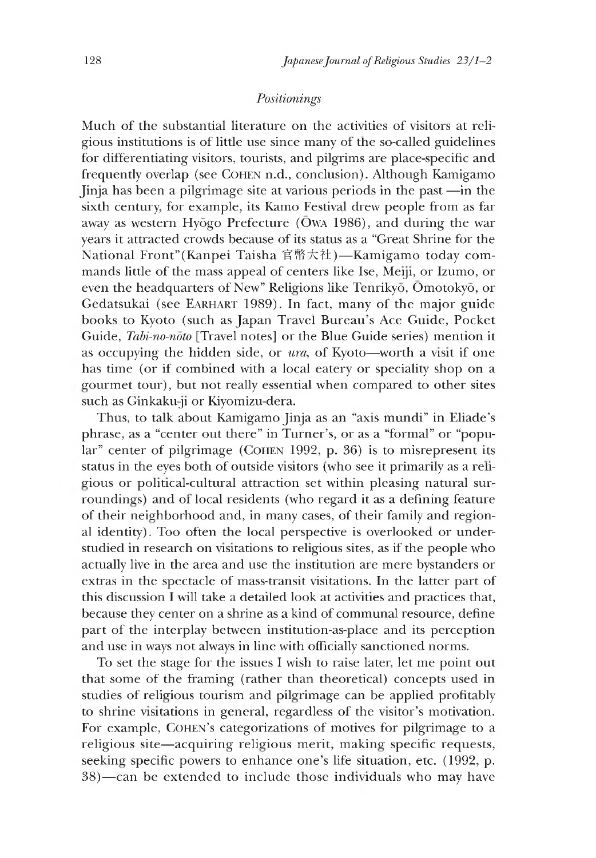### *Positionings*

Much of the substantial literature on the activities of visitors at religious institutions is of little use since many of the so-called guidelines for differentiating visitors, tourists, and pilgrims are place-specific and frequently overlap (see Cohen n.d., conclusion). Although Kamigamo Jinja has been a pilgrimage site at various periods in the past —in the sixth century, for example, its Kamo Festival drew people from as far away as western Hyogo Prefecture ( $\overline{\text{O}}$ WA 1986), and during the war years it attracted crowds because of its status as a "Great Shrine for the National Front"(Kanpei Taisha 官幣大社)一 Kamigamo today commands little of the mass appeal of centers like Ise, Meiji, or Izumo, or even the headquarters of New" Religions like Tenrikyo, Omotokyo, or Gedatsukai (see Earhart 1989). In fact, many of the major guide books to Kyoto (such as Japan Travel Bureau's Ace Guide, Pocket Guide, *Tabi-no-noto* [Travel notes] or the Blue Guide series) mention it as occupying the hidden side, or *ura*, of Kyoto—worth a visit if one has time (or if combined with a local eatery or speciality shop on a gourmet tour), but not really essential when compared to other sites such as Ginkaku-ji or Kiyomizu-dera.

Thus, to talk about Kamigamo Jinja as an "axis mundi" in Eliade's phrase, as a "center out there" in Turner's, or as a "formal" or "popular" center of pilgrimage (COHEN 1992, p. 36) is to misrepresent its status in the eyes both of outside visitors (who see it primarily as a religious or political-cultural attraction set within pleasing natural surroundings) and of local residents (who regard it as a defining feature of their neighborhood and, in many cases, of their family and regional identity). Too often the local perspective is overlooked or understudied in research on visitations to religious sites, as if the people who actually live in the area and use the institution are mere bystanders or extras in the spectacle of mass-transit visitations. In the latter part of this discussion I will take a detailed look at activities and practices that, because they center on a shrine as a kind of communal resource, define part of the interplay between institution-as-place and its perception and use in ways not always in line with officially sanctioned norms.

To set the stage for the issues I wish to raise later, let me point out that some of the framing (rather than theoretical) concepts used in studies of religious tourism and pilgrimage can be applied profitably to shrine visitations in general, regardless of the visitor's motivation. For example, Cohen's categorizations of motives for pilgrimage to a religious site—acquiring religious merit, making specific requests, seeking specific powers to enhance one's life situation, etc. (1992, p. 38)— can be extended to include those individuals who may have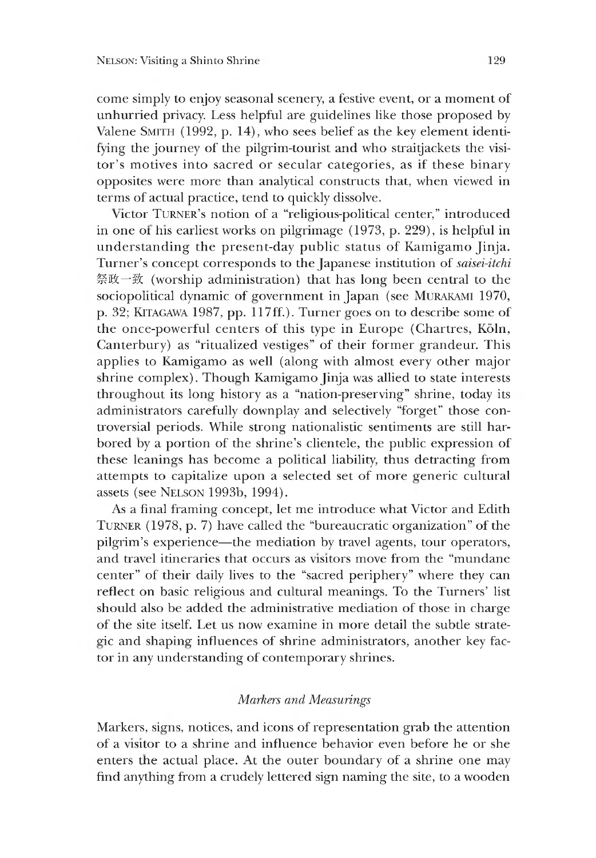come simply to enjoy seasonal scenery, a festive event, or a moment of unhurried privacy. Less helpful are guidelines like those proposed by Valene SMITH (1992, p. 14), who sees belief as the key element identifying the journey of the pilgrim-tourist and who straitjackets the visitor's motives into sacred or secular categories, as if these binary opposites were more than analytical constructs that, when viewed in terms of actual practice, tend to quickly dissolve.

Victor Turner's notion of a "religious-political center," introduced in one of his earliest works on pilgrimage  $(1973, p. 229)$ , is helpful in understanding the present-day public status of Kamigamo Jinja. Turner's concept corresponds to the Japanese institution of *saisei-itchi* 祭政一致 (worship administration) that has long been central to the sociopolitical dynamic of government in Japan (see MURAKAMI 1970, p. 32; KITAGAWA 1987, pp. 117ff.). Turner goes on to describe some of the once-powerful centers of this type in Europe (Chartres, Köln, Canterbury) as "ritualized vestiges" of their former grandeur. This applies to Kamigamo as well (along with almost every other major shrine complex). Though Kamigamo Jinja was allied to state interests throughout its lone history as a "nation-preserving" shrine, today its administrators carefully downplay and selectively "forget" those controversial periods. While strong nationalistic sentiments are still harbored by a portion of the shrine's clientele, the public expression of these leanines has become a political liability, thus detracting from attempts to capitalize upon a selected set of more generic cultural assets (see NELSON 1993b, 1994).

As a final framing concept, let me introduce what Victor and Edith Turner (1978, p. 7) have called the "bureaucratic organization" of the pilgrim's experience—the mediation by travel agents, tour operators, and travel itineraries that occurs as visitors move from the "mundane center" of their daily lives to the "sacred periphery" where they can reflect on basic religious and cultural meanings. To the Turners' list should also be added the administrative mediation of those in charge of the site itself. Let us now examine in more detail the subtle strategic and shaping influences of shrine administrators, another key factor in any understanding of contemporary shrines.

### *Markers and Measurings*

Markers, signs, notices, and icons of representation grab the attention of a visitor to a shrine and influence behavior even before he or she enters the actual place. At the outer boundary of a shrine one may find anything from a crudely lettered sign naming the site, to a wooden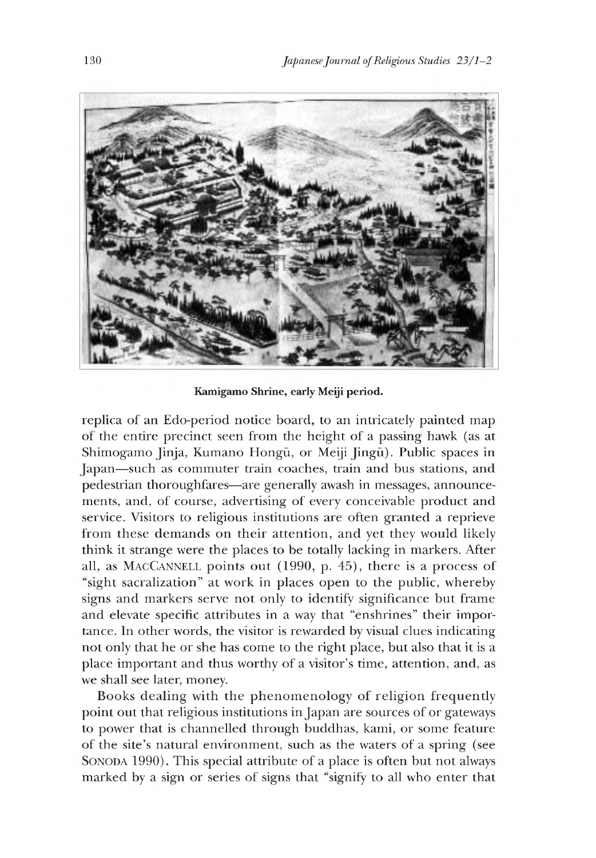

**Kamigamo Shrine, early Meiji period.**

replica of an Edo-period notice board, to an intricately painted map or the entire precinct seen from the height of a passing hawk (as at Shimogamo Jinja, Kumano Hongū, or Meiji Jingū). Public spaces in Japan—such as commuter train coaches, train and bus stations, and pedestrian thoroughfares—are generally awash in messages, announcements, and, of course, advertising of every conceivable product and service. Visitors to religious institutions are often granted a reprieve from these demands on their attention, and yet they would likely think it strange were the places to be totally lacking in markers. After all, as MACCANNELL points out (1990, p. 45), there is a process of "sight sacralization" at work in places open to the public, whereby signs and markers serve not only to identify significance but frame and elevate specific attributes in a way that "enshrines" their importance. In other words, the visitor is rewarded by visual clues indicating not only that he or she has come to the right place, but also that it is a place important and thus worthy of a visitor's time, attention, and, as we shall see later, money.

Books dealing with the phenomenology of religion frequently point out that religious institutions in Japan are sources of or gateways to power that is channelled through buddhas, kami, or some feature of the site's natural environment, such as the waters of a spring (see SONODA 1990). This special attribute of a place is often but not always marked by a sign or series of signs that "signify to all who enter that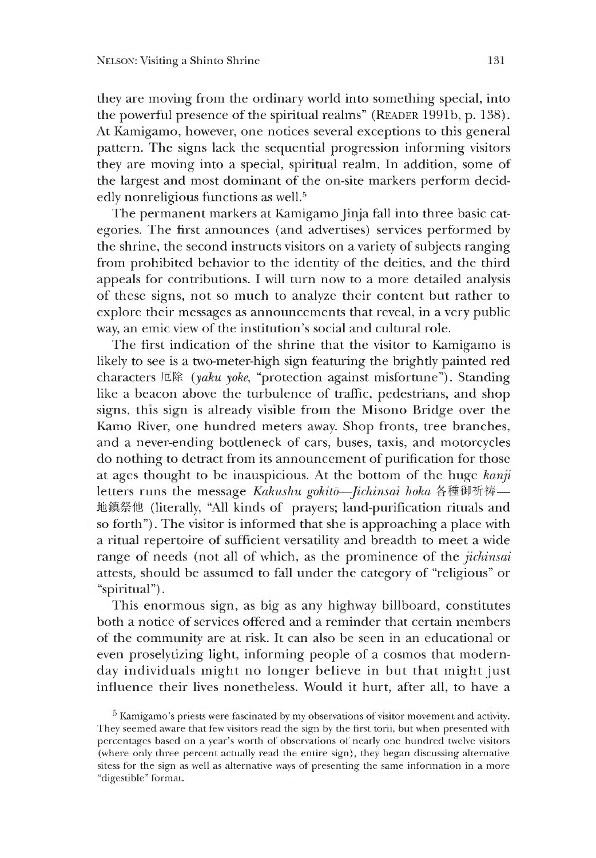they are moving from the ordinary world into something special, into the powerful presence of the spiritual realms" (READER 1991b, p. 138). At Kamigamo, however, one notices several exceptions to this general pattern. The signs lack the sequential progression informing visitors they are moving into a special, spiritual realm. In addition, some of the largest and most dominant of the on-site markers perform decidedly nonreligious functions as well.<sup>5</sup>

The permanent markers at Kamigamo Jinja fall into three basic categories. The first announces (and advertises) services performed by the shrine, the second instructs visitors on a variety of subjects ranging from prohibited behavior to the identity of the deities, and the third appeals for contributions. I will turn now to a more detailed analysis of these signs, not so much to analyze their content but rather to explore their messages as announcements that reveal, in a very public way, an emic view of the institution's social and cultural role.

The first indication of the shrine that the visitor to Kamigamo is likely to see is a two-meter-high sign featuring the brightly painted red characters 厄除 (yaku yoke, "protection against misfortune"). Standing like a beacon above the turbulence of traffic, pedestrians, and shop signs, this sign is already visible from the Misono Bridge over the Kamo River, one hundred meters away. Shop fronts, tree branches, and a never-ending bottleneck of cars, buses, taxis, and motorcycles do nothing to detract from its announcement of purification for those at ages thought to be inauspicious. At the bottom of the huge *kanji* letters runs the message *Kakushu gokito~-Jichinsai hoka* 各種御!祈祷一 地 鎮祭 他 (literally, "All kinds of prayers; land-purification rituals and so forth"). The visitor is informed that she is approaching a place with a ritual repertoire of sufficient versatility and breadth to meet a wide range of needs (not all of which, as the prominence of the *jichinsai* attests, should be assumed to fall under the category of "religious" or "spiritual").

This enormous sign, as big as any highway billboard, constitutes both a notice of services offered and a reminder that certain members of the community are at risk. It can also be seen in an educational or even proselytizing light, informing people of a cosmos that modernday individuals might no loneer believe in but that might just influence their lives nonetheless. Would it hurt, after all, to have a

<sup>5</sup> Kamigamo's priests were fascinated by my observations of visitor movement and activity. They seemed aware that few visitors read the sign by the first torii, but when presented with percentages based on a year's worth of observations of nearly one hundred twelve visitors (where only three percent actually read the entire sign), they began discussing alternative sitess for the sign as well as alternative ways of presenting the same information in a more "digestible" format.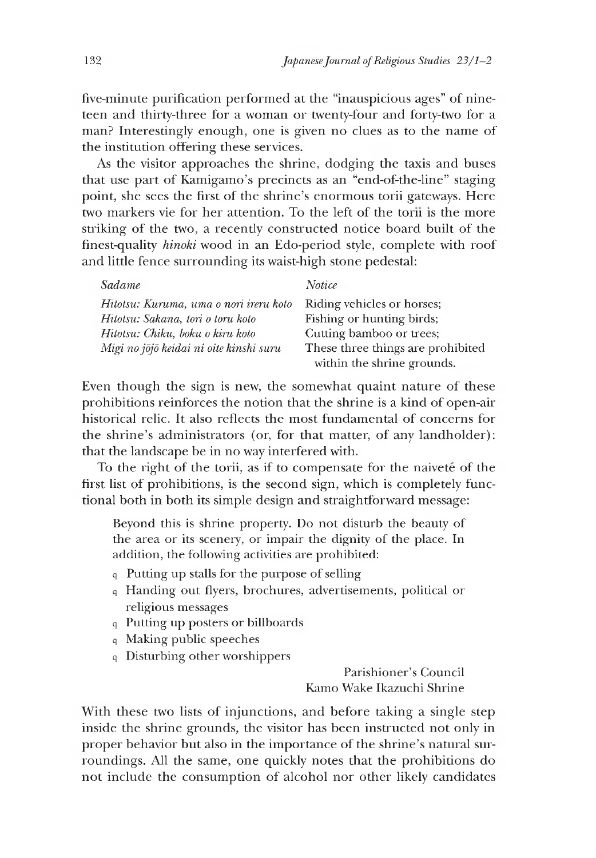five-minute purification performed at the "inauspicious ages" of nineteen and thirty-three for a woman or twenty-four and forty-two for a man? Interestingly enough, one is given no clues as to the name of the institution offering these services.

As the visitor approaches the shrine, dodging the taxis and buses that use part of Kamigamo's precincts as an "end-of-the-line" staging point, she sees the first of the shrine's enormous torii gateways. Here two markers vie for her attention. To the left of the torii is the more striking of the two, a recently constructed notice board built of the finest-quality *hinoki* wood in an Edo-period style, complete with roof and little fence surrounding its waist-high stone pedestal:

| Sadame                                  | Notice                            |
|-----------------------------------------|-----------------------------------|
| Hitotsu: Kuruma, uma o nori ireru koto  | Riding vehicles or horses;        |
| Hitotsu: Sakana, tori o toru koto       | Fishing or hunting birds;         |
| Hitotsu: Chiku, boku o kiru koto        | Cutting bamboo or trees;          |
| Migi no jōjō keidai ni oite kinshi suru | These three things are prohibited |
|                                         | within the shrine grounds.        |

Even though the sign is new, the somewhat quaint nature of these prohibitions reinforces the notion that the shrine is a kind of open-air historical relic. It also reflects the most fundamental of concerns for the shrine's administrators (or, for that matter, of any landholder): that the landscape be in no way interfered with.

To the right of the torii, as if to compensate for the naivete of the first list of prohibitions, is the second sign, which is completely functional both in both its simple design and straightforward message:

Beyond this is shrine property. Do not disturb the beauty of the area or its scenery, or impair the dignity of the place. In addition, the following activities are prohibited:

- <sup>q</sup>Putting up stalls for the purpose of selling
- <sup>q</sup>Handing out flyers, brochures, advertisements, political or religious messages
- <sup>q</sup>Putting up posters or billboards
- <sup>q</sup>Making public speeches
- <sup>q</sup>Disturbing other worshippers

Parishioner's Council Kamo Wake Ikazuchi Shrine

With these two lists of injunctions, and before taking a single step inside the shrine grounds, the visitor has been instructed not only in proper behavior but also in the importance of the shrine's natural surroundings. All the same, one quickly notes that the prohibitions do not include the consumption of alcohol nor other likely candidates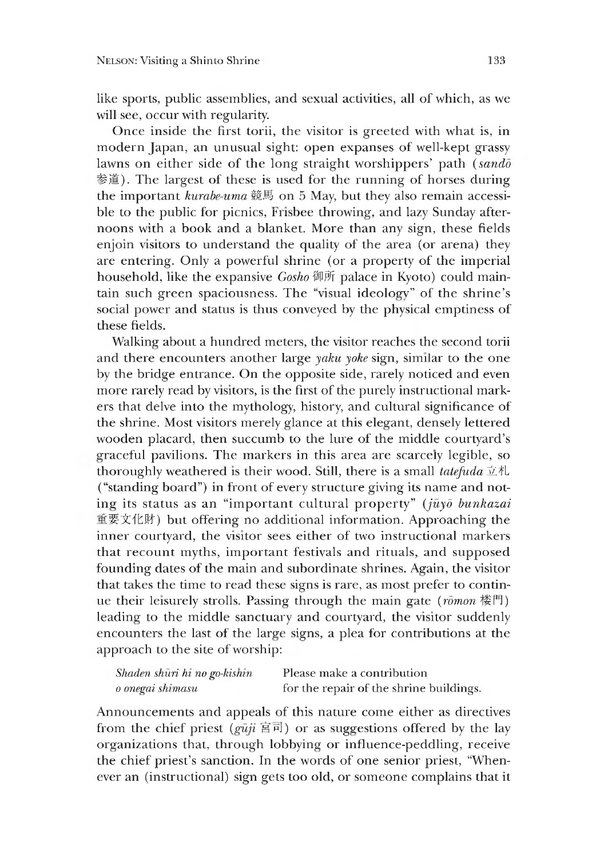like sports, public assemblies, and sexual activities, all of which, as we will see, occur with regularity.

Once inside the first torii, the visitor is greeted with what is, in modern Japan, an unusual sight: open expanses of well-kept grassy lawns on either side of the long straight worshippers' path *(sando*) 参道). The largest of these is used for the running of horses during the important *kurabe-uma* 競馬 on 5 May, but they also remain accessible to the public for picnics, Frisbee throwing, and lazy Sunday afternoons with a book and a blanket. More than any sign, these fields enjoin visitors to understand the quality of the area (or arena) they are entering. Only a powerful shrine (or a property of the imperial household, like the expansive *Gosho* 御所 palace in Kyoto) could maintain such green spaciousness. The 'visual ideology" of the shrine's social power and status is thus conveyed by the physical emptiness of these fields.

Walking about a hundred meters, the visitor reaches the second torii and there encounters another large *yaku yoke* sign, similar to the one by the bridge entrance. On the opposite side, rarely noticed and even more rarely read by visitors, is the first of the purely instructional markers that delve into the mythology, history, and cultural significance of the shrine. Most visitors merely glance at this elegant, densely lettered wooden placard, then succumb to the lure of the middle courtyard's graceful pavilions. The markers in this area are scarcely legible, so thoroughly weathered is their wood. Still, there is a small *tatefuda* 立札 ("standing board") in front of every structure giving its name and notine its status as an "important cultural property" *(juyd bunkazai* 直要文イ匕財) but offering no additional information. Approaching the inner courtyard, the visitor sees either of two instructional markers that recount myths, important festivals and rituals, and supposed founding dates of the main and subordinate shrines. Again, the visitor that takes the time to read these signs is rare, as most prefer to continue their leisurely strolls. Passing through the main eate *(romon* 楼門) leading to the middle sanctuary and courtyard, the visitor suddenly encounters the last of the large signs, a plea for contributions at the approach to the site of worship:

| Shaden shuri hi no go-kishin | Please make a contribution              |
|------------------------------|-----------------------------------------|
| o onegai shimasu             | for the repair of the shrine buildings. |

Announcements and appeals of this nature come either as directives from the chief priest  $(\varrho u \vec{\mu} \times \vec{\mathbb{E}})$  or as suggestions offered by the lay organizations that, through lobbying or influence-peddling, receive the chief priest's sanction. In the words of one senior priest, "Whenever an (instructional) sign gets too old, or someone complains that it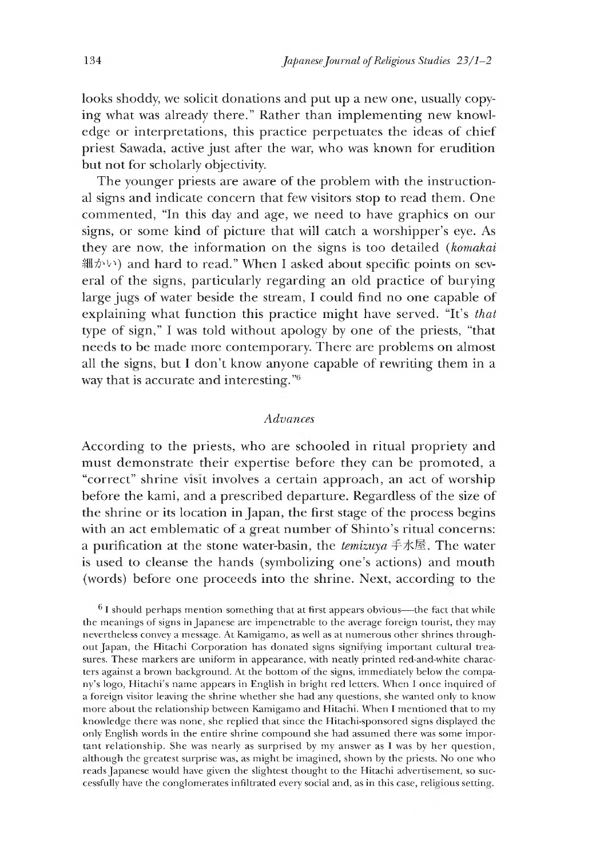looks shoddy, we solicit donations and put up a new one, usually copying what was already there." Rather than implementing new knowledge or interpretations, this practice perpetuates the ideas of chief priest Sawada, active just after the war, who was known for erudition but not for scholarly objectivity.

The younger priests are aware of the problem with the instructional signs and indicate concern that few visitors stop to read them. One commented, "In this day and age, we need to have graphics on our signs, or some kind of picture that will catch a worshipper's eye. As they are now, the information on the signs is too detailed *(komakai* 細かい) and hard to read." When I asked about specific points on several of the signs, particularly regarding an old practice of burying large jugs of water beside the stream, I could find no one capable of explaining what function this practice might have served. "It's *that* type of sign," I was told without apology by one of the priests, "that needs to be made more contemporary. There are problems on almost all the signs, but I don't know anyone capable of rewriting them in a way that is accurate and interesting."<sup>6</sup>

### *Advances*

According to the priests, who are schooled in ritual propriety and must demonstrate their expertise before they can be promoted, a "correct" shrine visit involves a certain approach, an act of worship before the kami, and a prescribed departure. Regardless of the size of the shrine or its location in Japan, the first stage of the process begins with an act emblematic of a great number of Shinto's ritual concerns: a purification at the stone water-basin, the *temizuya* 手水屋. The water is used to cleanse the hands (symbolizing one's actions) and mouth (words) before one proceeds into the shrine. Next, according to the

 $6$  I should perhaps mention something that at first appears obvious—the fact that while the meanings of signs in Japanese are impenetrable to the average foreign tourist, they may nevertheless convey a message. At Kamigamo, as well as at numerous other shrines throughout Japan, the Hitachi Corporation has donated signs signifying important cultural treasures. These markers are uniform in appearance, with neatly printed red-and-white characters against a brown background. At the bottom of the signs, immediately below the company's logo, Hitachi s name appears in English in bright red letters. When I once inquired of a foreign visitor leaving the shrine whether she had any questions, she wanted only to know more about the relationship between Kamigamo and Hitachi. When I mentioned that to my knowledge there was none, she replied that since the Hitachi-sponsored signs displayed the only English words in the entire shrine compound she had assumed there was some important relationship. She was nearly as surprised by my answer as I was by her question, although the greatest surprise was, as might be imagined, shown by the priests. No one who reads Japanese would have given the slightest thought to the Hitachi advertisement, so successfully have the conglomerates infiltrated every social and, as in this case, religious settiner.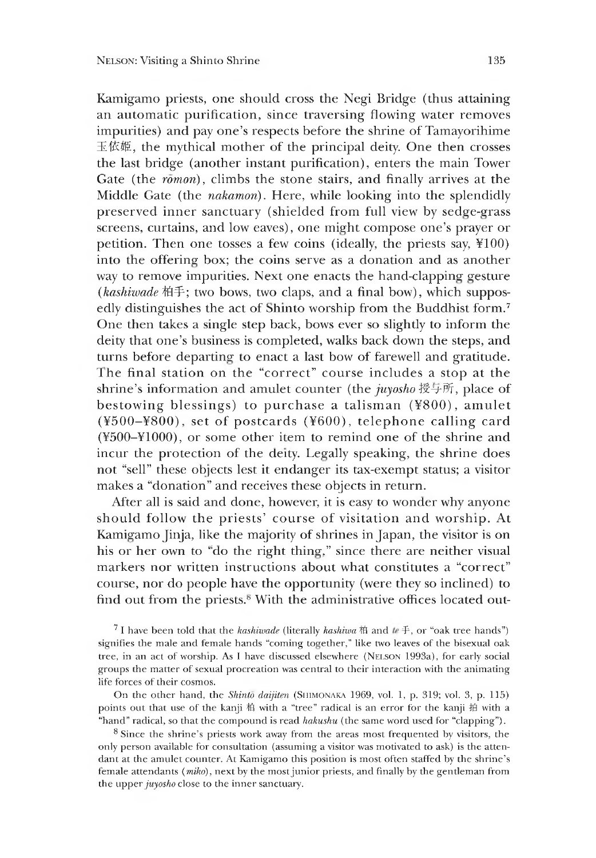Kamigamo priests, one should cross the Negi Bridge (thus attaining an automatic purification, since traversing flowing water removes impurities) and pay one's respects before the shrine of Tamayorihime 玉依姫, the mythical mother of the principal deity. One then crosses the last bridge (another instant purification), enters the main Tower Gate (the  $r\overline{\tilde{o}}$ *mon*), climbs the stone stairs, and finally arrives at the Middle Gate (the *nakamon).* Here, while looking into the splendidly preserved inner sanctuary (shielded from full view by sedge-grass screens, curtains, and low eaves), one might compose one's prayer or petition. Then one tosses a few coins (ideally, the priests say, ¥100) into the offering box; the coins serve as a donation and as another way to remove impurities. Next one enacts the hand-clapping gesture (kashiwade 柏手; two bows, two claps, and a final bow), which supposedly distinguishes the act of Shinto worship from the Buddhist form.<sup>7</sup> One then takes a single step back, bows ever so slightly to inform the deity that one's business is completed, walks back down the steps, and turns before departing to enact a last bow of farewell and gratitude. The final station on the "correct" course includes a stop at the shrine's information and amulet counter (the *juyosho* 授与所, place of bestowing blessings) to purchase a talisman  $(4800)$ , amulet  $(\text{\texttt{Y500}-\texttt{Y800}})$ , set of postcards ( $\text{\texttt{Y600}}$ ), telephone calling card (¥500-¥1000), or some other item to remind one of the shrine and incur the protection of the deity. Legally speaking, the shrine does not "sell" these objects lest it endanger its tax-exempt status; a visitor makes a "donation" and receives these objects in return.

After all is said and done, however, it is easy to wonder why anyone should follow the priests' course of visitation and worship. At Kamigamo Jinja, like the majority of shrines in Japan, the visitor is on his or her own to "do the right thing," since there are neither visual markers nor written instructions about what constitutes a "correct" course, nor do people have the opportunity (were they so inclined) to find out from the priests. $\frac{8}{3}$  With the administrative offices located out-

<sup>7</sup> I have been told that the *kashiwade* (literally *kashiwa*  $\hat{m}$  and  $\hat{m} \neq 0$ , or "oak tree hands") signifies the male and female hands "coming together," like two leaves of the bisexual oak tree, in an act of worship. As I have discussed elsewhere (Nelson 1993a), for early social groups the matter of sexual procreation was central to their interaction with the animating life forces of their cosmos.

On the other hand, the *Shinto daijiten* (SHIMONAKA 1969, vol. 1, p. 319; vol. 3, p. 115) points out that use of the kanji 柏 with a "tree" radical is an error for the kanji 拍 with a "hand" radical, so that the compound is read *hakushu* (the same word used for "clapping").

8 Since the shrine's priests work away from the areas most frequented by visitors, the only person available for consultation (assuming a visitor was motivated to ask) is the attendant at the amulet counter. At Kamigamo this position is most often staffed by the shrine's female attendants (*miko),* next by the most junior priests, and finally by the gentleman from the upper *juyosho* close to the inner sanctuary.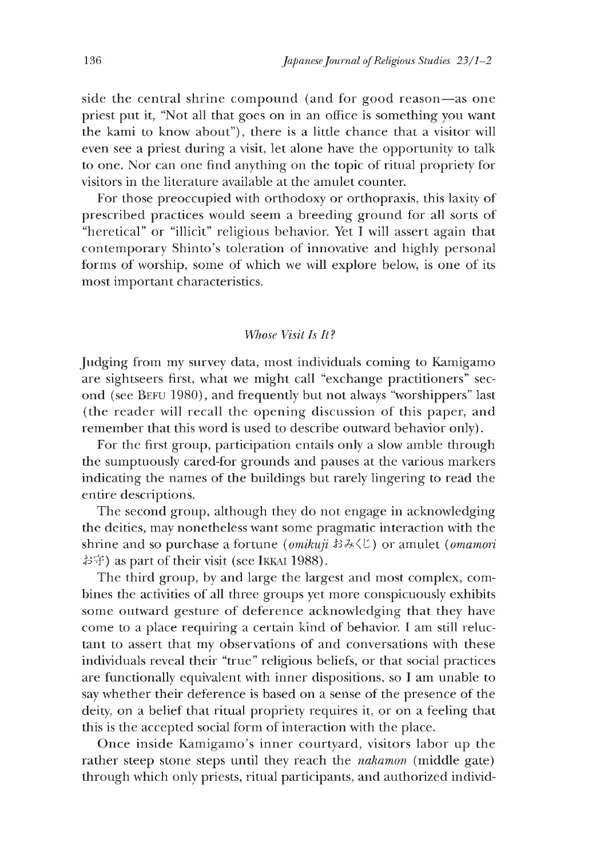side the central shrine compound (and for good reason—as one priest put it, "Not all that goes on in an office is something you want the kami to know about"), there is a little chance that a visitor will even see a priest during a visit, let alone have the opportunity to talk to one. Nor can one find anything on the topic of ritual propriety for visitors in the literature available at the amulet counter.

For those preoccupied with orthodoxy or orthopraxis, this laxity of prescribed practices would seem a breeding ground for all sorts of "heretical" or "illicit" religious behavior. Yet I will assert again that contemporary Shinto's toleration of innovative and highly personal forms of worship, some of which we will explore below, is one of its most important characteristics.

### *Whose Visit Is It?*

Judging from my survey data, most individuals coming to Kamigamo are sightseers first, what we might call "exchange practitioners" second (see BEFU 1980), and frequently but not always "worshippers" last (the reader will recall the opening discussion of this paper, and remember that this word is used to describe outward behavior only).

For the first group, participation entails only a slow amble through the sumptuously cared-for grounds and pauses at the various markers indicating the names of the buildings but rarely lingering to read the entire descriptions.

The second group, although they do not engage in acknowledging the deities, may nonetheless want some pragmatic interaction with the shrine and so purchase a fortune *(omikuji* おみくじ) or amulet *(omamori* お守) as part of their visit (see IKKAI 1988).

The third group, by and large the largest and most complex, combines the activities of all three groups yet more conspicuously exhibits some outward gesture of deference acknowledging that they have come to a place requiring a certain Kind of behavior. I am still reluctant to assert that my observations of and conversations with these individuals reveal their "true" religious beliefs, or that social practices are functionally equivalent with inner dispositions, so I am unable to say whether their deference is based on a sense of the presence of the deity, on a belief that ritual propriety requires it, or on a feeling that this is the accepted social form of interaction with the place.

Once inside Kamigamo's inner courtyard, visitors labor up the rather steep stone steps until they reach the *nakamon* (middle gate) through which only priests, ritual participants, and authorized individ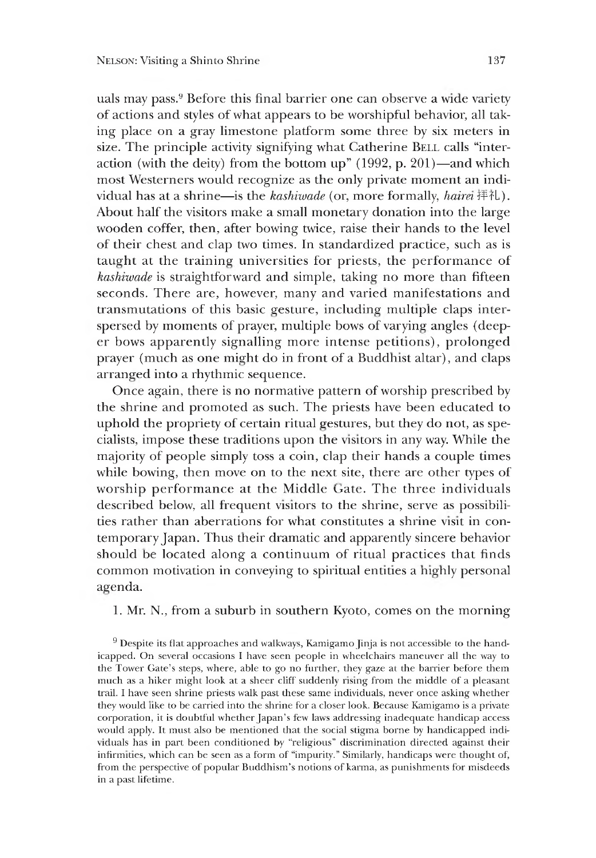uals may pass.9 Before this final barrier one can observe a wide variety of actions and styles of what appears to be worshipful behavior, all taking place on a gray limestone platform some three by six meters in size. The principle activity signifying what Catherine BELL calls "interaction (with the deity) from the bottom up"  $(1992, p. 201)$ —and which most Westerners would recognize as the only private moment an individual has at a shrine—is the *kashiwade* (or, more formally, *hairei* 抨イし). About half the visitors make a small monetary donation into the large wooden coffer, then, after bowing twice, raise their hands to the level of their chest and clap two times. In standardized practice, such as is taught at the training universities for priests, the performance of *kashiwade* is straightforward and simple, taking no more than fifteen seconds. There are, however, many and varied manifestations and transmutations of this basic gesture, including multiple claps interspersed by moments of prayer, multiple bows of varying angles (deeper bows apparently signalling more intense petitions), prolonged prayer (much as one might do in front of a Buddhist altar), and claps arranged into a rhythmic sequence.

Once again, there is no normative pattern of worship prescribed by the shrine and promoted as such. The priests have been educated to uphold the propriety of certain ritual gestures, but they do not, as specialists, impose these traditions upon the visitors in any way. While the majority of people simply toss a coin, clap their hands a couple times while bowing, then move on to the next site, there are other types of worship performance at the Middle Gate. The three individuals described below, all frequent visitors to the shrine, serve as possibilities rather than aberrations for what constitutes a shrine visit in contemporary Japan. Thus their dramatic and apparently sincere behavior should be located along a continuum of ritual practices that finds common motivation in conveying to spiritual entities a nighly personal aeenda.

### 1. Mr. N., from a suburb in southern Kyoto, comes on the morning

<sup>9</sup> Despite its flat approaches and walkways, Kamigamo Jinja is not accessible to the handicapped. On several occasions I have seen people in wheelchairs maneuver all the way to the Tower Gate's steps, where, able to go no further, they gaze at the barrier before them much as a hiker might look at a sheer cliff suddenly rising from the middle of a pleasant trail.I have seen shrine priests walk past these same individuals, never once asking whether they would like to be carried into the shrine for a closer look. Because Kamigamo is a private corporation, it is doubtful whether Japan's few laws addressing inadequate handicap access would apply. It must also be mentioned that the social stigma borne by handicapped individuals has in part been conditioned by "religious" discrimination directed against their infirmities, which can be seen as a form of "impurity." Similarly, handicaps were thought of, from the perspective of popular Buddhism's notions of karma, as punishments for misdeeds in a past lifetime.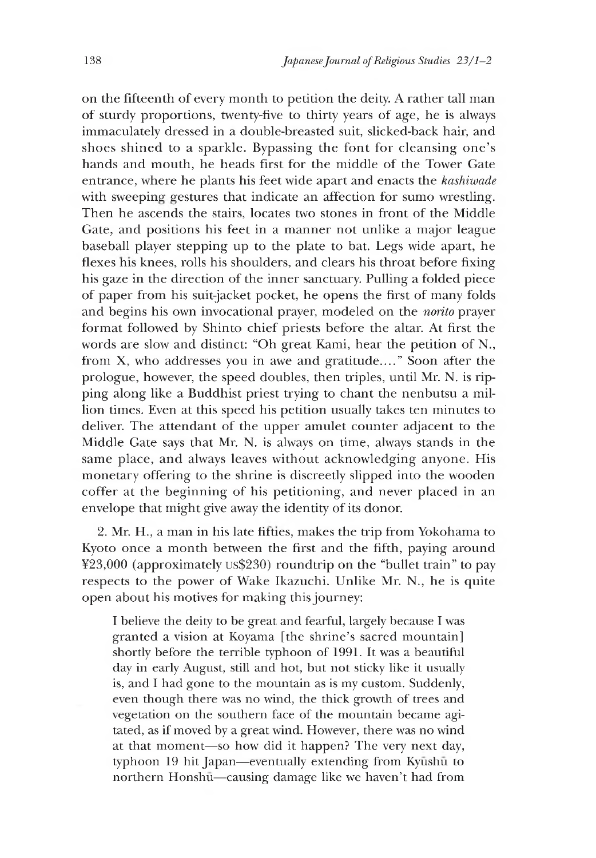on the fifteenth of every month to petition the deity. A rather tall man of sturdy proportions, twenty-five to thirty years of age, he is always immaculately dressed in a double-breasted suit, slicked-back hair, and shoes shined to a sparkle. Bypassing the font for cleansing one's hands and mouth, he heads first for the middle of the Tower Gate entrance, where he plants his feet wide apart and enacts the *kashiwade* with sweeping gestures that indicate an affection for sumo wrestling. Then he ascends the stairs, locates two stones in front of the Middle Gate, and positions his feet in a manner not unlike a major league baseball player stepping up to the plate to bat. Legs wide apart, he flexes his knees, rolls his shoulders, and clears his throat before fixing his gaze in the direction of the inner sanctuary. Pulling a folded piece of paper from his suit-jacket pocket, he opens the first of many folds and begins his own invocational prayer, modeled on the *norito* prayer format followed by Shinto chief priests before the altar. At first the words are slow and distinct: "Oh great Kami, hear the petition of N., from X, who addresses you in awe and gratitude...." Soon after the prologue, however, the speed doubles, then triples, until Mr. N. is ripping along like a Buddhist priest trying to chant the nenbutsu a million times. Even at this speed his petition usually takes ten minutes to deliver. The attendant of the upper amulet counter adjacent to the Middle Gate says that Mr. N. is always on time, always stands in the same place, and always leaves without acknowledging anyone. His monetary offering to the shrine is discreetly slipped into the wooden coffer at the beginning of his petitioning, and never placed in an envelope that might give away the identity of its donor.

2. Mr. H., a man in his late fifties, makes the trip from Yokohama to Kyoto once a month between the first and the fifth, paying around ¥23,000 (approximately US\$230) roundtrip on the "bullet train" to pay respects to the power of Wake Ikazuchi. Unlike Mr. *N.,* he is quite open about his motives for making this journey:

I believe the deity to be great and fearful, largely because I was granted a vision at Koyama [the shrine's sacred mountain] shortly before the terrible typhoon of 1991. It was a beautiful day in early August, still and hot, but not sticky like it usually is, and I had gone to the mountain as is my custom. Suddenly, even though there was no wind, the thick growth of trees and vegetation on the southern face of the mountain became agitated, as if moved by a great wind. However, there was no wind at that moment—so how did it happen? The very next day, typhoon 19 hit Japan—eventually extending from Kyūshū to northern Honshu—causing damage like we haven't had from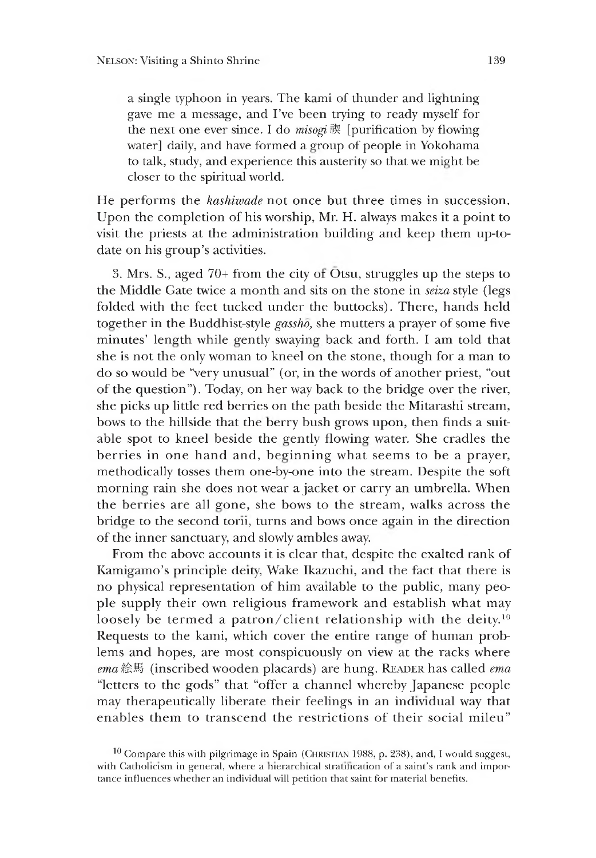a single typhoon in years. The kami of thunder and lightning gave me a message, and I've been trying to ready myself for the next one ever since. I do  $misoq$   $\dot{\mathcal{R}}$  [purification by flowing water] daily, and have formed a group of people in Yokohama to talk, study, and experience this austerity so that we might be closer to the spiritual world.

He performs the *kashiwade* not once but three times in succession. Upon the completion of his worship, Mr. H. always makes it a point to visit the priests at the administration building and keep them up-todate on his group's activities.

3. Mrs. S., aged  $70+$  from the city of  $\overline{O}$ tsu, struggles up the steps to the Middle Gate twice a month and sits on the stone in *seiza* style (legs folded with the feet tucked under the buttocks). There, hands held together in the Buddhist-style *gassho,* she mutters a prayer of some five minutes' length while gently swaying back and forth. I am told that she is not the only woman to kneel on the stone, though for a man to do so would be "very unusual" (or, in the words of another priest,"out of the question"). Today, on her way back to the bridge over the river, she picks up little red berries on the path beside the Mitarashi stream, bows to the hillside that the berry bush grows upon, then finds a suitable spot to kneel beside the gently flowing water. She cradles the berries in one hand and, beginning what seems to be a prayer, methodically tosses them one-by-one into the stream. Despite the soft morning rain she does not wear a jacket or carry an umbrella. When the berries are all gone, she bows to the stream, walks across the bridge to the second torii, turns and bows once again in the direction of the inner sanctuary, and slowly ambles away.

From the above accounts it is clear that, despite the exalted rank of Kamigamo's principle deity, Wake Ikazuchi, and the fact that there is no physical representation of him available to the public, many people supply their own religious framework and establish what may loosely be termed a patron/client relationship with the deity.<sup>10</sup> Requests to the kami, which cover the entire range of human problems and hopes, are most conspicuously on view at the racks where *ema*絵馬 (inscribed wooden placards) are hung. READER has called *ema* "letters to the gods" that "offer a channel whereby Japanese people may therapeutically liberate their feelings in an individual way that enables them to transcend the restrictions of their social mileu"

 $10$  Compare this with pilgrimage in Spain (CHRISTIAN 1988, p. 238), and, I would suggest, with Catholicism in general, where a hierarchical stratification of a saint's rank and importance influences whether an individual will petition that saint for material benefits.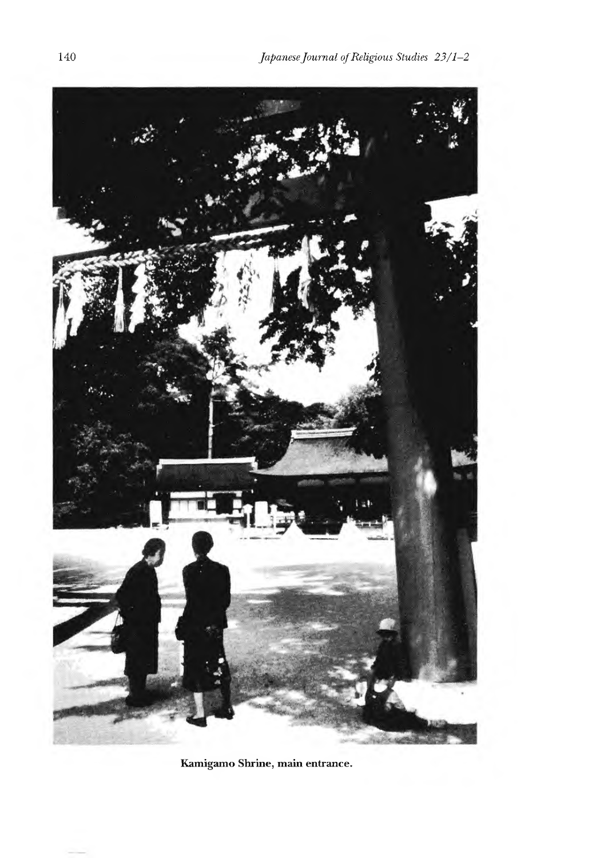

**Kamigamo Shrine, main entrance.**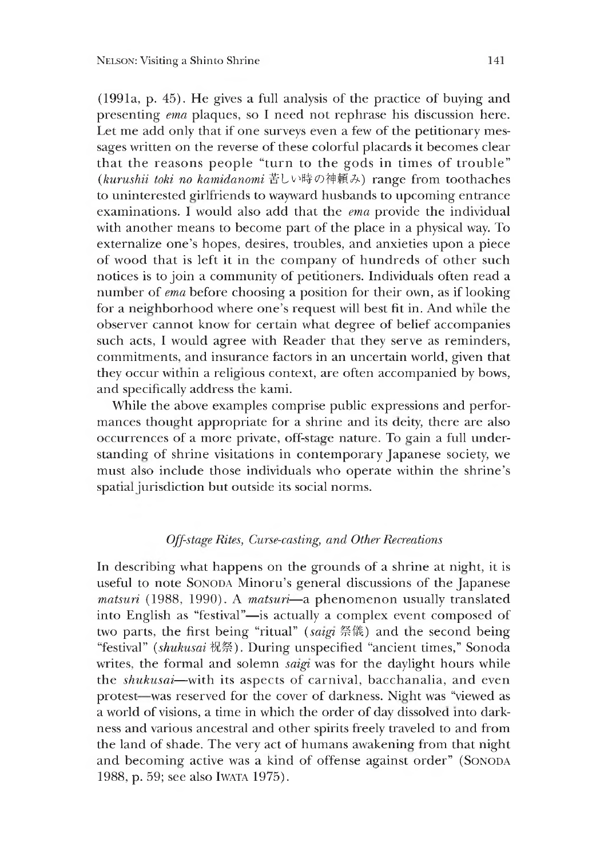$(1991a, p. 45)$ . He gives a full analysis of the practice of buying and presenting *ema* plaques, so I need not rephrase his discussion here. Let me add only that if one surveys even a few of the petitionary messages written on the reverse of these colorful placards it becomes clear that the reasons people "turn to the gods in times of trouble" (kurushii toki no kamidanomi 苦しい時の神頼み) range from toothaches to uninterested girlfriends to wayward husbands to upcoming entrance examinations. I would also add that the *ema* provide the individual with another means to become part of the place in a physical way. To externalize one's hopes, desires, troubles, and anxieties upon a piece of wood that is left it in the company of hundreds of other such notices is to join a community of petitioners. Individuals often read a number of *ema* before choosing a position for their own, as if looking for a neiehborhood where one's request will best fit in. And while the observer cannot know for certain what degree of belief accompanies such acts, I would agree with Reader that they serve as reminders, commitments, and insurance factors in an uncertain world, given that they occur within a religious context, are often accompanied by bows, and specifically address the kami.

While the above examples comprise public expressions and performances thought appropriate for a shrine and its deity, there are also occurrences of a more private, off-staee nature. To gain a full understanding of shrine visitations in contemporary Japanese society, we must also include those individuals who operate within the shrine's spatial jurisdiction but outside its social norms.

### *Off-stage Rites Curse-casting, and Other Recreations*

In describing what happens on the grounds of a shrine at night, it is useful to note SONODA Minoru's general discussions of the Japanese *matsuri* (1988, 1990). A *matsuri*—a phenomenon usually translated into English as "festival"-is actually a complex event composed of two parts, the first being "ritual" *(satgi* 祭僂)and the second being "festival" *[shukusai 敬祭*、. Durine unspecified "ancient times," Sonoda writes, the formal and solemn *satgi* was for the daylight hours while the *shukusai*—with its aspects of carnival, bacchanalia, and even protest—was reserved for the cover of darkness. Night was "viewed as a world of visions, a time in which the order of day dissolved into darkness and various ancestral and other spirits freely traveled to and from the land of shade. The very act of humans awakening from that night and becoming active was a kind of offense against order" (Sonoda 1988, p. 59; see also Iwata 1975).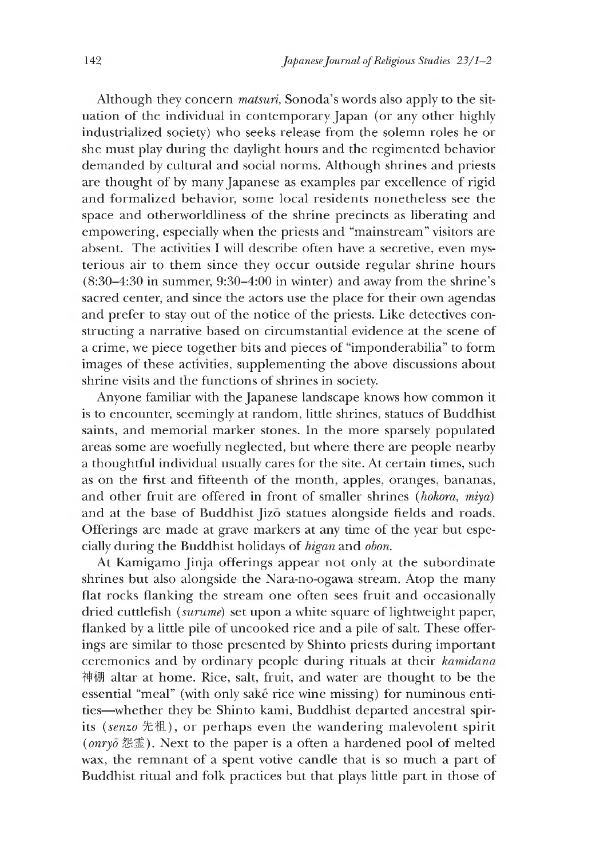Although they concern *matsuri,* Sonoda's words also apply to the situation of the individual in contemporary Japan (or any other highly industrialized society) who seeks release from the solemn roles he or she must play during the daylight hours and the regimented behavior demanded by cultural and social norms. Although shrines and priests are thought of by many Japanese as examples par excellence of rigid and formalized behavior, some local residents nonetheless see the space and otherworldliness of the shrine precincts as liberating and empowering, especially when the priests and "mainstream" visitors are absent. The activities I will describe often have a secretive, even mysterious air to them since they occur outside regular shrine hours (8:30-4:30 in summer, 9:30-4:00 in winter) and away from the shrine's sacred center, and since the actors use the place for their own agendas and prefer to stay out of the notice of the priests. Like detectives constructing a narrative based on circumstantial evidence at the scene of a crime, we piece together bits and pieces of "imponderabilia" to form images of these activities, supplementing the above discussions about shrine visits and the functions of shrines in society.

Anyone familiar with the Japanese landscape knows how common it is to encounter, seemingly at random, little shrines, statues of Buddhist saints, and memorial marker stones. In the more sparsely populated areas some are woefully neglected, but where there are people nearby a thoughtful individual usually cares for the site. At certain times, such as on the first and fifteenth of the month, apples, oranges, bananas, and other fruit are offered in front of smaller shrines *(hokora, miya)* and at the base of Buddhist Jizo statues alongside fields and roads. Offerings are made at grave markers at any time of the year but especially during the Buddhist holidays of *higan* and *obon.*

At Kamigamo Jinja offerings appear not only at the subordinate shrines but also alongside the Nara-no-ogawa stream. Atop the many flat rocks flanking the stream one often sees fruit and occasionally dried cuttlefish *(surume)* set upon a white square of lightweight paper, flanked by a little pile of uncooked rice and a pile of salt. These offerings are similar to those presented by Shinto priests during important ceremonies and by ordinary people during rituals at their *kamidana* 神棚 altar at home. Rice, salt, fruit, and water are thought to be the essential "meal" (with only sake rice wine missing) for numinous entities—whether they be Shinto kami, Buddhist departed ancestral spirits *(senzo* 先祖),or perhaps even the wandering malevolent spirit *(onryo* 怨霊). Next to the paper is a often a hardened pool of melted wax, the remnant of a spent votive candle that is so much a part of Buddhist ritual and folk practices but that plays little part in those of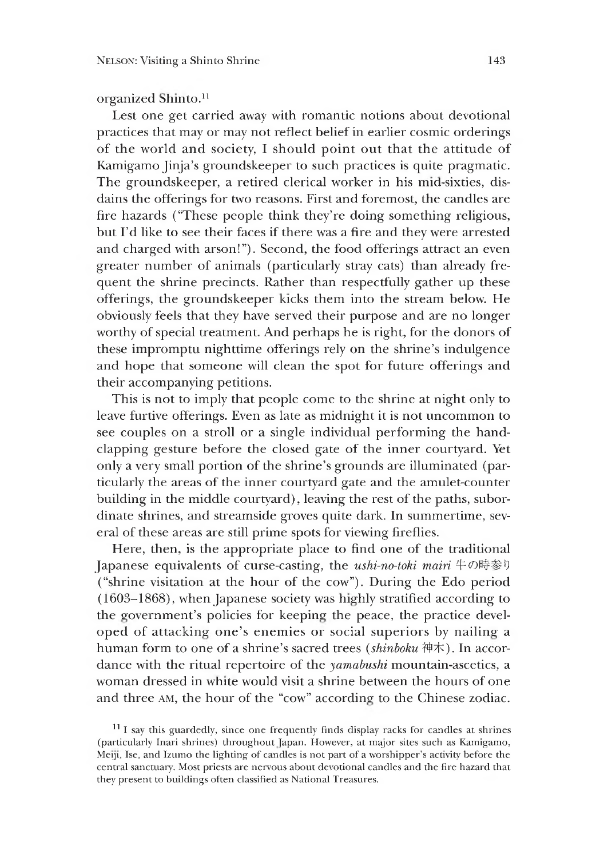# organized Shinto.<sup>11</sup>

Lest one get carried away with romantic notions about devotional practices that may or may not reflect belief in earlier cosmic orderings of the world and society, I should point out that the attitude of Kamigamo Jinja's groundskeeper to such practices is quite pragmatic. The groundskeeper, a retired clerical worker in his mid-sixties, disdains the offerings for two reasons. First and foremost, the candles are fire hazards ("These people think they're doing something religious, but I'd like to see their faces if there was a fire and they were arrested and charged with arson!"). Second, the food offerings attract an even greater number of animals (particularly stray cats) than already frequent the shrine precincts. Rather than respectfully gather up these offerings, the groundskeeper kicks them into the stream below. He obviously feels that they have served their purpose and are no longer worthy of special treatment. And perhaps he is right, for the donors of these impromptu nighttime offerings rely on the shrine's indulgence and hope that someone will clean the spot for future offerings and their accompanying petitions.

This is not to imply that people come to the shrine at night only to leave furtive offerings. Even as late as midnight it is not uncommon to see couples on a stroll or a single individual performing the handclapping gesture before the closed gate of the inner courtyard. Yet only a very small portion of the shrine's grounds are illuminated (particularly the areas of the inner courtyard gate and the amulet-counter building in the middle courtyard), leaving the rest of the paths, subordinate shrines, and streamside groves quite dark. In summertime, several of these areas are still prime spots for viewing fireflies.

Here, then, is the appropriate place to find one of the traditional Japanese equivalents of curse-casting, the *ushi-no-toki mairi* 牛の時参り ("shrine visitation at the hour of the cow"). During the Edo period  $(1603-1868)$ , when Japanese society was highly stratified according to the government's policies for keeping the peace, the practice developed of attacking one's enemies or social superiors by nailing a human form to one of a shrine's sacred trees *(shinboku* 神木). In accordance with the ritual repertoire of the *yamabushi* mountain-ascetics, a woman dressed in white would visit a shrine between the hours of one and three am, the hour of the "cow" according to the Chinese zodiac.

<sup>&</sup>lt;sup>11</sup> I say this guardedly, since one frequently finds display racks for candles at shrines (particularly Inari shrines) throughout Japan. However, at major sites such as Kamigamo, Meiji, Ise, and Izumo the lighting of candles is not part of a worshipper's activity before the central sanctuary. Most priests are nervous about devotional candles and the fire hazard that they present to buildings often classified as National Treasures.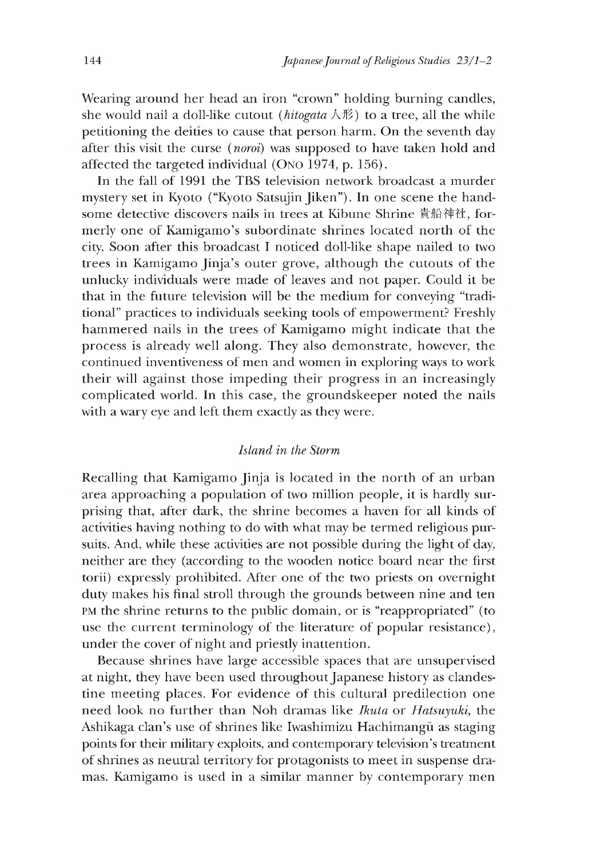Wearing around her head an iron "crown" holding burning candles, she would nail a doll-like cutout *(hitogata*  $\land \notimes$ ) to a tree, all the while petitioning the deities to cause that person harm. On the seventh day after this visit the curse (*noroi)* was supposed to have taken hold and affected the targeted individual (Ono 1974, p. 156).

In the fall of 1991 the TBS television network broadcast a murder mystery set in Kyoto ("Kyoto Satsujm Jiken"). In one scene the handsome detective discovers nails in trees at Kibune Shrine 貴船神社, formerly one of Kamigamo's subordinate shrines located north of the city. Soon after this broadcast I noticed doll-like shape nailed to two trees in Kamigamo Jinja's outer grove, although the cutouts of the unlucky individuals were made of leaves and not paper. Could it be that in the future television will be the medium for conveying "traditional" practices to individuals seeking tools of empowerment? Freshly hammered nails in the trees of Kamigamo might indicate that the process is already well along. They also demonstrate, however, the continued inventiveness of men and women in exploring ways to work their will against those impeding their progress in an increasingly complicated world. In this case, the groundskeeper noted the nails with a wary eye and left them exactly as they were.

# *Island in the Storm*

Recalling that Kamigamo Jinja is located in the north of an urban area approaching a population of two million people, it is hardly surprising that, after dark, the shrine becomes a haven for all kinds of activities having nothing to do with what may be termed religious pursuits. And, while these activities are not possible during the light of day, neither are they (according to the wooden notice board near the first torii) expressly prohibited. After one of the two priests on overnight duty makes his final stroll through the grounds between nine and ten PM the shrine returns to the public domain, or is "reappropriated" (to use the current terminology of the literature of popular resistance), under the cover of night and priestly inattention.

Because shrines have large accessible spaces that are unsupervised at night, they have been used throughout Japanese history as clandestine meeting places. For evidence of this cultural predilection one need look no further than Noh dramas like *Ikuta* or *Hatsuyuki* the Ashikaga clan's use of shrines like Iwashimizu Hachimangu as staging points for their military exploits, and contemporary television's treatment of shrines as neutral territory for protagonists to meet in suspense dramas. Kamigamo is used in a similar manner by contemporary men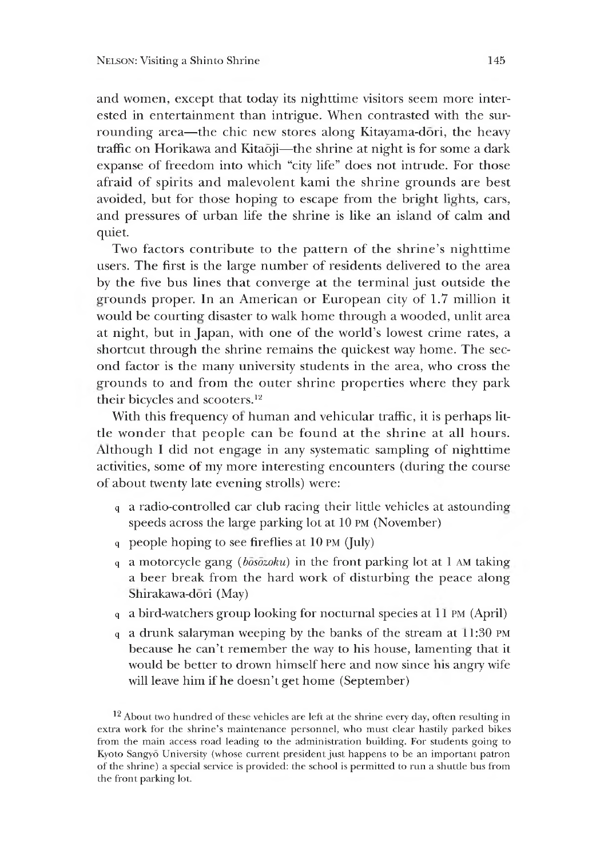and women, except that today its nighttime visitors seem more interested in entertainment than intrigue. When contrasted with the surrounding area—the chic new stores along Kitayama-dori, the heavy traffic on Horikawa and Kitaōji—the shrine at night is for some a dark expanse of freedom into which "city life" does not intrude. For those afraid of spirits and malevolent kami the shrine grounds are best avoided, but for those hoping to escape from the bright lights, cars, and pressures of urban life the shrine is like an island of calm and quiet.

Two factors contribute to the pattern of the shrine's nighttime users. The first is the large number of residents delivered to the area by the five bus lines that converge at the terminal just outside the grounds proper. In an American or European city of 1.7 million it would be courting disaster to walk home through a wooded, unlit area at night, but in Japan, with one of the world's lowest crime rates, a shortcut through the shrine remains the quickest way home. The second factor is the many university students in the area, who cross the grounds to and from the outer shrine properties where they park their bicycles and scooters.12

With this frequency of human and vehicular traffic, it is perhaps little wonder that people can be found at the shrine at all hours. Although I did not engage in any systematic sampling of nighttime activities, some of my more interesting encounters (during the course of about twenty late evening strolls) were:

- q a radio-controlled car club racing their little vehicles at astounding speeds across the large parking lot at 10 pm (November)
- q people hoping to see fireflies at  $10 \text{ PM}$  (July)
- q a motorcycle gang *(bosozoku)* in the front parking lot at 1 am taking a beer break from the hard work of disturbing the peace along ^hirakawa-dori (May)
- q a bird-watchers group looking for nocturnal species at 11 PM (April)
- q a drunk salaryman weeping by the banks of the stream at 1:30 pm because he can't remember the way to his house, lamenting that it would be better to drown himself here and now since his angry wife will leave him if he doesn't get home (September)

12 About two hundred of these vehicles are left at the shrine every day, often resulting in extra work for the shrine's maintenance personnel, who must clear hastily parked bikes from the main access road leading to the administration building. For students going to Kyoto Sangyo University (whose current president just happens to be an important patron of the shrine) a special service is provided: the school is permitted to run a shuttle bus from the front parking lot.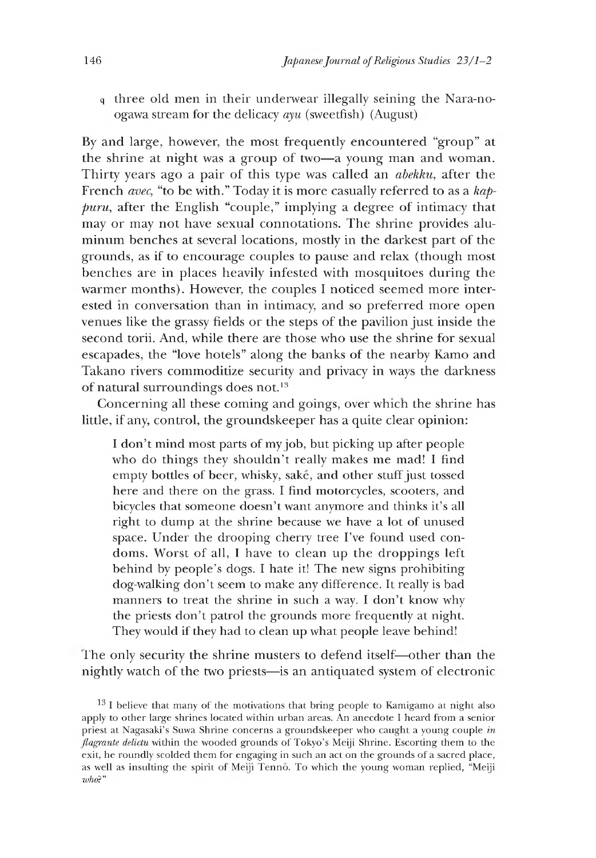q three old men in their underwear illegally seining the Nara-noogawa stream for the delicacy *ayu* (sweetfish) (August)

By and large, however, the most frequently encountered "group" at the shrine at night was a group of two—a young man and woman. Thirty years ago a pair of this type was called an *abekku,* after the French *avec,* "to be with." Today it is more casually referred to as a *kappuru,* after the English "couple," implying a degree of intimacy that may or may not have sexual connotations. The shrine provides aluminum benches at several locations, mostly in the darkest part of the grounds, as if to encourage couples to pause and relax (though most benches are in places heavily infested with mosquitoes during the warmer months). However, the couples I noticed seemed more interested in conversation than in intimacy, and so preferred more open venues like the grassy fields or the steps of the pavilion just inside the second torii. And, while there are those who use the shrine for sexual escapades, the "love hotels" along the banks of the nearby Kamo and Takano rivers commoditize security and privacy in ways the darkness of natural surroundings does not.<sup>13</sup>

Concerning all these coming and goings, over which the shrine has little, if any, control, the groundskeeper has a quite clear opinion:

I don't mind most parts of my job, but picking up after people who do things they shouldn't really makes me mad! I find empty bottles of beer, whisky, sake, and other stuff just tossed here and there on the grass. I find motorcycles, scooters, and bicycles that someone doesn't want anymore and thinks it's all right to dump at the shrine because we have a lot of unused space. Under the drooping cherry tree I've found used condoms. Worst of all,I have to clean up the droppings left behind by people's dogs. I hate it! The new signs prohibiting dog-walking don't seem to make any difference. It really is bad manners to treat the shrine in such a way. I don't know why the priests don't patrol the grounds more frequently at night. They would if they had to clean up what people leave behind!

The only security the shrine musters to defend itself—other than the nightly watch of the two priests— is an antiquated system of electronic

<sup>&</sup>lt;sup>13</sup> I believe that many of the motivations that bring people to Kamigamo at night also apply to other large shrines located within urban areas. An anecdote I heard from a senior priest at Nagasaki's Suwa Shrine concerns a groundskeeper who caught a young couple *in flagrante delictu* within the wooded grounds of Tokyo's Meiji Shrine. Escorting them to the exit, he roundly scolded them for engaging in such an act on the grounds of a sacred place, as well as insulting the spirit of Meiji fenno. To which the young woman replied, "Meiji *who?"*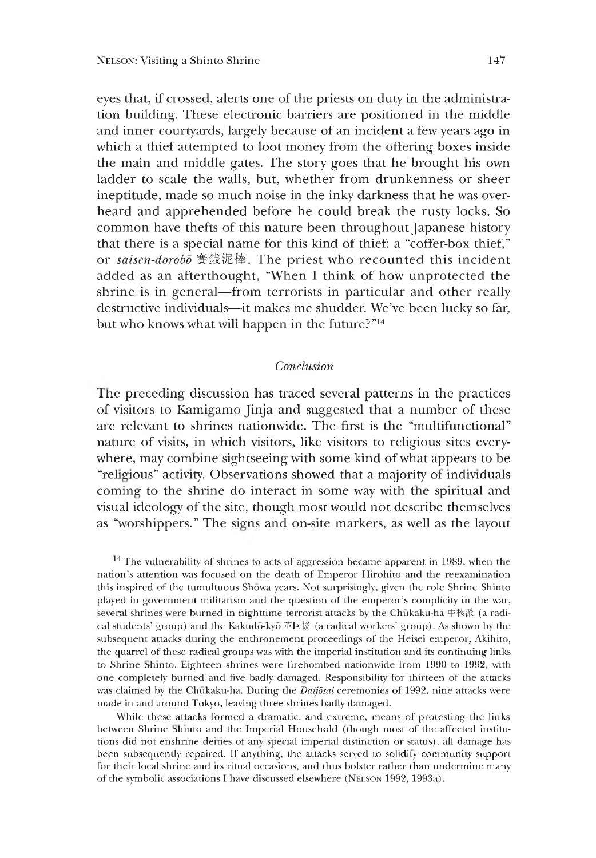eyes that, if crossed, alerts one of the priests on duty in the administration building. These electronic barriers are positioned in the middle and inner courtyards, largely because of an incident a few years ago in which a thief attempted to loot money from the offering boxes inside the main and middle gates. The story goes that he brought his own ladder to scale the walls, but, whether from drunkenness or sheer ineptitude, made so much noise in the inky darkness that he was overheard and apprehended before he could break the rusty locks. So common have thefts of this nature been throughout Japanese history that there is a special name for this kind of thief: a "coffer-box thief," or *saisen-dorobo* 賽銭泥棒. The priest who recounted this incident added as an afterthought, "When I think of how unprotected the shrine is in general—from terrorists in particular and other really destructive individuals—it makes me shudder. We've been lucky so far, but who knows what will happen in the future?" $14$ 

# *Conclusion*

Ihe preceding discussion has traced several patterns in the practices of visitors to Kamigamo Jinja and suggested that a number of these are relevant to shrines nationwide. The first is the "multifunctional" nature of visits, in which visitors, like visitors to religious sites everywhere, may combine sightseeing with some kind of what appears to be "religious" activity. Observations showed that a majority of individuals coming to the shrine do interact in some way with the spiritual and visual ideology of the site, though most would not describe themselves as "worshippers." The signs and on-site markers, as well as the layout

<sup>14</sup> The vulnerability of shrines to acts of aggression became apparent in 1989, when the nation's attention was focused on the death of Emperor Hirohito and the reexamination this inspired of the tumultuous Showa years. Not surprisingly, given the role Shrine Shinto played in government militarism and the question of the emperor's complicity in the war, several shrines were burned in nighttime terrorist attacks by the Chukaku-ha 中核派 (a radical students' group) and the Kakudō-kyō 革同協 (a radical workers' group). As shown by the subsequent attacks during the enthronement proceedings of the Heisei emperor, Akihito, the quarrel of these radical groups was with the imperial institution and its continuing links to Shrine Shinto. Eighteen shrines were firebombed nationwide from 1990 to 1992, with one completely burned and five badly damaged. Responsibility for thirteen of the attacks was claimed by the Chukaku-ha. During the *Daijosai* ceremonies of 1992, nine attacks were made in and around Tokyo, leaving three shrines badly damaged.

While these attacks formed a dramatic, and extreme, means of protesting the links between Shrine Shinto and the Imperial Household (though most of the affected institutions did not enshrine deities of any special imperial distinction or status), all damage has been subsequently repaired. If anything, the attacks served to solidify community support for their local shrine and its ritual occasions, and thus bolster rather than undermine many of the symbolic associations I have discussed elsewhere (NELSON 1992, 1993a).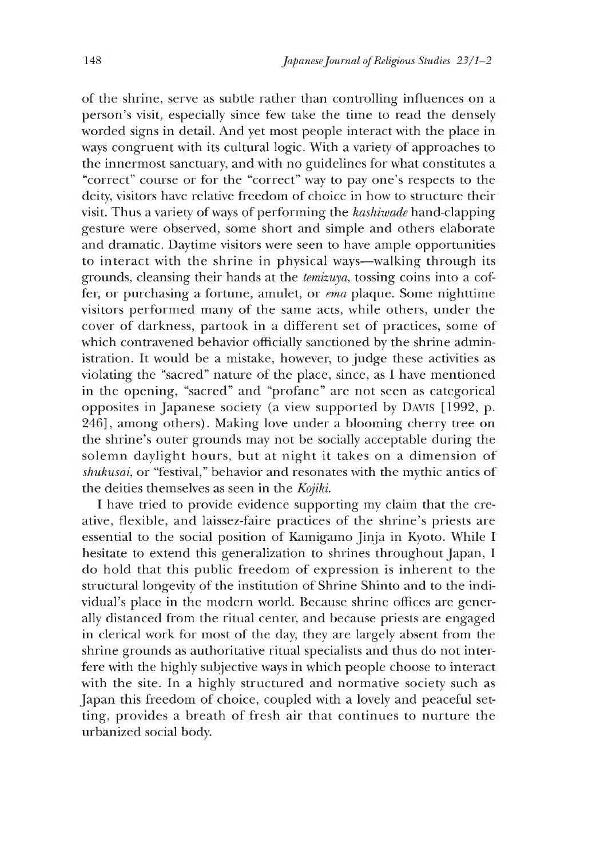of the shrine, serve as subtle rather than controlling influences on a person's visit, especially since few take the time to read the densely worded signs in detail. And yet most people interact with the place in ways congruent with its cultural logic. With a variety of approaches to the innermost sanctuary, and with no guidelines for what constitutes a "correct" course or for the "correct" way to pay one's respects to the deity, visitors have relative freedom of choice in how to structure their visit. Thus a variety of ways of performing the *kashiwade* hand-clapping gesture were observed, some short and simple and others elaborate and dramatic. Daytime visitors were seen to have ample opportunities to interact with the shrine in physical ways—walking through its grounds, cleansing their hands at the *temizuya,* tossing coins into a coffer, or purchasing a fortune, amulet, or *ema* plaque. Some nighttime visitors performed many of the same acts, while others, under the cover of darkness, partook in a different set of practices, some of which contravened behavior officially sanctioned by the shrine administration. It would be a mistake, however, to judge these activities as violating the "sacred" nature of the place, since, as I have mentioned in the opening, "sacred" and "profane" are not seen as categorical opposites in Japanese society (a view supported by DAVIS  $[1992, p.$ 246], among others). Making love under a blooming cherry tree on the shrine's outer grounds may not be socially acceptable during the solemn daylight hours, but at night it takes on a dimension of *shukusai*, or "festival," behavior and resonates with the mythic antics of the deities themselves as seen in the *Kojiki.*

I have tried to provide evidence supporting my claim that the creative, flexible, and laissez-faire practices of the shrine's priests are essential to the social position of Kamigamo Jinja in Kyoto. While I hesitate to extend this generalization to shrines throughout Japan, I do hold that this public freedom of expression is inherent to the structural longevity of the institution of Shrine Shinto and to the individual's place in the modern world. Because shrine offices are generally distanced from the ritual center, and because priests are engaged in clerical work for most of the day, they are largely absent from the shrine grounds as authoritative ritual specialists and thus do not interfere with the highly subjective ways in which people choose to interact with the site. In a highly structured and normative society such as Japan this freedom of choice, coupled with a lovely and peaceful setting, provides a breath of fresh air that continues to nurture the urbanized social body.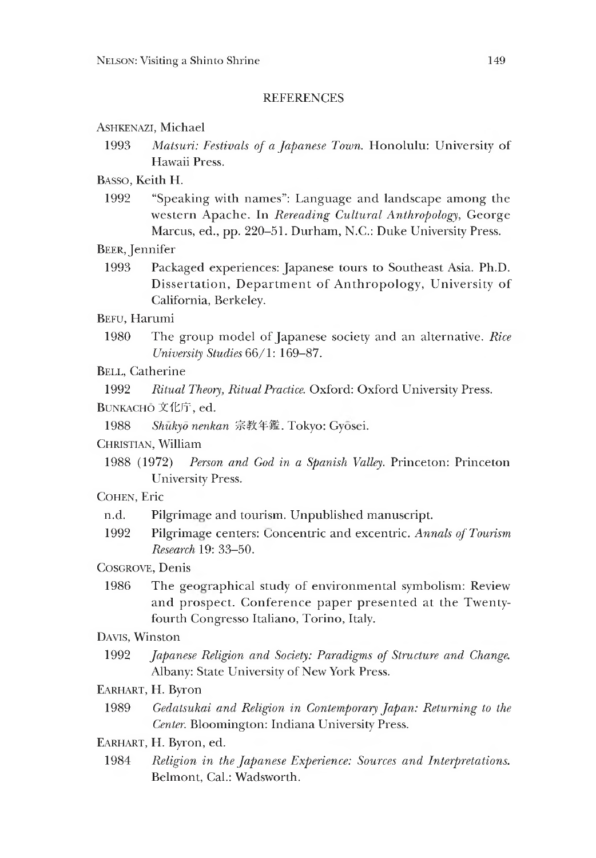#### **REFERENCES**

Ashkenazi, Michael

1993 *Matsuri: Festivals of a Japanese Town.* Honolulu: University of Hawaii Press.

Basso, Keith H.

1992 "Speaking with names": Language and landscape among the western Apache. In *Rereading Cultural Anthropology,* George Marcus, ed., pp. 220–51. Durham, N.C.: Duke University Press.

Beer, Jennifer

1993 Packaged experiences: Japanese tours to Southeast Asia. Ph.D. Dissertation, Department of Anthropology, University of California, Berkeley.

Befu, Harumi

- 1980 The group model of Japanese society and an alternative. *Rice University Studies* 66/1: 169-87.
- BELL, Catherine

1992 *Ritual Theory, Ritual Practice.* Oxford: Oxford University Press.

Bunkacho 文化庁,ed.

1988 *Shukyd nenkan* 宗教年鑑. Tokyo: Gyosei.

Christian, William

1988 (1972) *Person and God in a Spanish Valley.* Princeton: Princeton University Press.

Cohen, Eric

- n.d. Pilgrimage and tourism. Unpublished manuscript.
- 1992 Pilgrimage centers: Concentric and excentric. *Annals of Tourism Research* 19: 33-50.

COSGROVE, Denis

1986 The geographical study of environmental symbolism: Review and prospect. Conference paper presented at the Twentyfourth Congresso Italiano, Torino, Italy.

Davis, Winston

- 1992 *Japanese Religion and Society: Paradigms of Structure and Change.* Albany: State University of New York Press.
- Earhart, H. Byron
	- 1989 *Gedatsukai and Religion in Contemporary Japan: Returning to the Center.* Bloomington: Indiana University Press.
- Earhart, H. Byron, ed.
- 1984 *Religion in the Japanese Experience: Sources and Interpretations.* Belmont, Cal.: Wadsworth.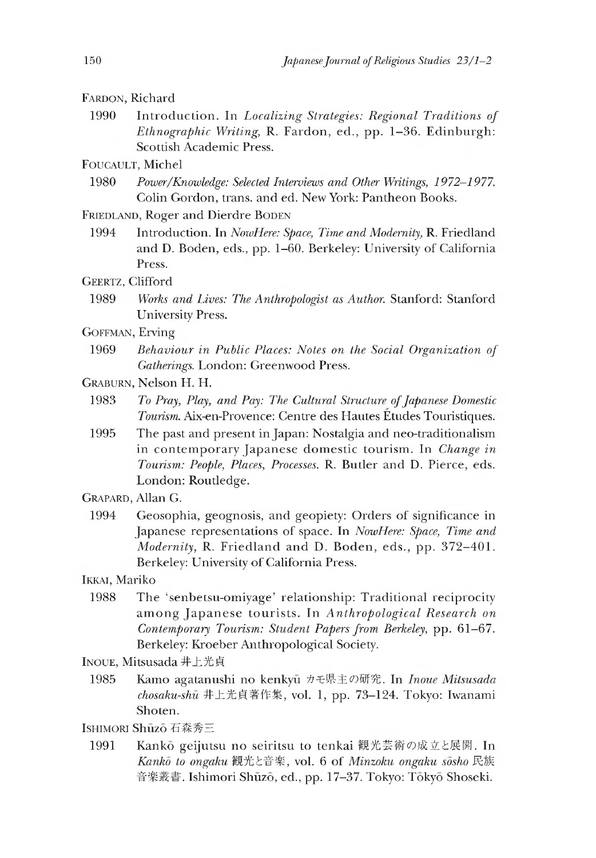### FARDON, Richard

1990 Introduction. In *Localizing Strategies: Regional Traditions of Ethnographic Writing,* R. Fardon, ed., pp. 1-36. Edinburgh: Scottish Academic Press.

# FOUCAULT, Michel

- 1980 *Power/Knowledge: Selected Interviews and Other Writings 1972-1977.* Colin Gordon, trans. and ed. New York: Pantheon Books.
- FRIEDLAND, Roger and Dierdre BODEN
	- 1994 Introduction. In *NowHere: Space, Time and Modernity*, R. Friedland and D. Boden, eds., pp. 1–60. Berkeley: University of California Press.
- GEERTZ, Clifford
	- 1989 *Works and Lives: The Anthropologist as Author.* Stanford: Stanford University Press.
- Goffman, Erving
- 1969 *Behaviour in Public Places: Notes on the Social Organization of Gatherings.* London: Greenwood Press.
- Graburn, Nelson H. H.
	- 1983 *To Pray, Play, and Pay: The Cultural Structure of Japanese Domestic Tourism.* Aix-en-Provence: Centre des Hautes Etudes Touristiques.
	- 1995 The past and present in Japan: Nostalgia and neo-traditionalism in contemporary Japanese domestic tourism. In *Change in Tourism: People, Places, Processes.* R. Butler and D. Pierce, eds. London: Routledge.
- Grapard, Allan G.
	- 1994 Geosophia, geognosis, and geopiety: Orders of significance in Japanese representations of space. In *NowHere: Space,Time and Modernity* R. Friedland and D. Boden, eds., pp. 372-401. Berkeley: University of California Press.

Ikkai, Mariko

- 1988 The 'senbetsu-omiyage' relationship: Traditional reciprocity among Tapanese tourists. In *Anthropological Research on Contemporary Tourism: Student Papers from Berkeley,* pp. 61-67. Berkeley: Kroeber Anthropological Society.
- Inoue, Mitsusada 井上光貞
	- 1985 Kamo agatanushi no kenkyu カモ県主の研究. In *Inoue Mitsusada chosaku-shu* 井上光貞著作集,vol.1 pp. 73-124. Tokyo: Iwanami Shoten.
- Ishimori Shuzo 石森秀三
	- 1991 Kanko geijutsu no seiritsu to tenkai 観光芸術の成立と展開. In *Kanko to on^aku* 観光と音楽,v o l.6 of *Minzoku ongaku sosho* 民族 音楽叢書. Ishimori Shūzō, ed., pp. 17-37. Tokyo: Tōkyō Shoseki.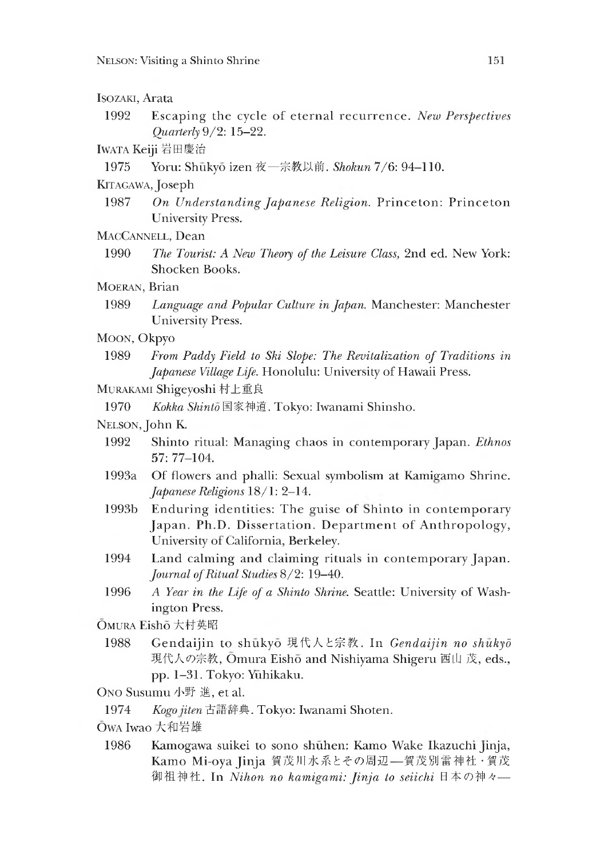# Isozaki, Arata

1992 Escaping the cycle of eternal recurrence. *New Perspectives Quarterly* 9/2:15-22.

### IWATA Keiji 岩田慶治

1975 Yoru: Shukyo izen 夜一宗教以前*. Shokun* 7/6: 94-110.

### KITAGAWA, Joseph

1987 *On Understanding Japanese Religion.* Princeton: Princeton University Press.

## MacCannell, Dean

1990 *The Tourist: A New Theory of the Leisure Class,* 2nd ed. New York: Shocken Books.

# MOERAN, Brian

1989 *Language and Popular Culture in Japan.* Manchester: Manchester University Press.

### MOON, Okpyo

- 1989 *From Paddy Field to Ski Slope: The Revitalization of Traditions in Japanese Village Life.* Honolulu: University of Hawaii Press.
- Murakami Shigeyoshi 村上重良
- 1970 *Kokka Shinto* 国家神道. Tokyo: Iwanami Shinsho.

# Nelson, John K.

- 1992 Shinto ritual: Managing chaos in contemporary Japan. *Ethnos* 57: 77-104.
- 1993a Of flowers and phalli: Sexual symbolism at Kamigamo Shrine. *Japanese Religions* 18/1: 2-14.
- 1993b Enduring identities: The guise of Shinto in contemporary Japan. Ph.D. Dissertation. Department of Anthropology, University ot California, Berkeley.
- 1994 Land calming and claiming rituals in contemporary Japan. *Journal of Ritual Studies* 8/2: 19-40.
- 1996 *A Year in the Life of a Shinto Shrine.* Seattle: University of Washington Press.

# Omura Eisho大村英昭

1988 Gendaijin to shukyo 現代人と宗教. In *Gendaijin no shukyd* 現代人の宗教, Omura Eisho and Nishiyama Shigeru 西山 茂, eds., pp. 1-31. Tokyo: Yuhikaku.

# Ono Susumu 小野 進, et al.

- 1974 *Koq-o iiten*古語辞典. Tokyo: Iwanami Shoten.
- Owa Iwao大和岩雄
- 1986 Kamogawa suikei to sono shuhen: Kamo Wake Ikazuchi jinja, Kamo Mi-oya Jinja 賀茂川水系とその周辺––賀茂別雷神社·賀茂 御祖神社. In *Nihon no kamigami: Jinja to seiichi* 日本の神々一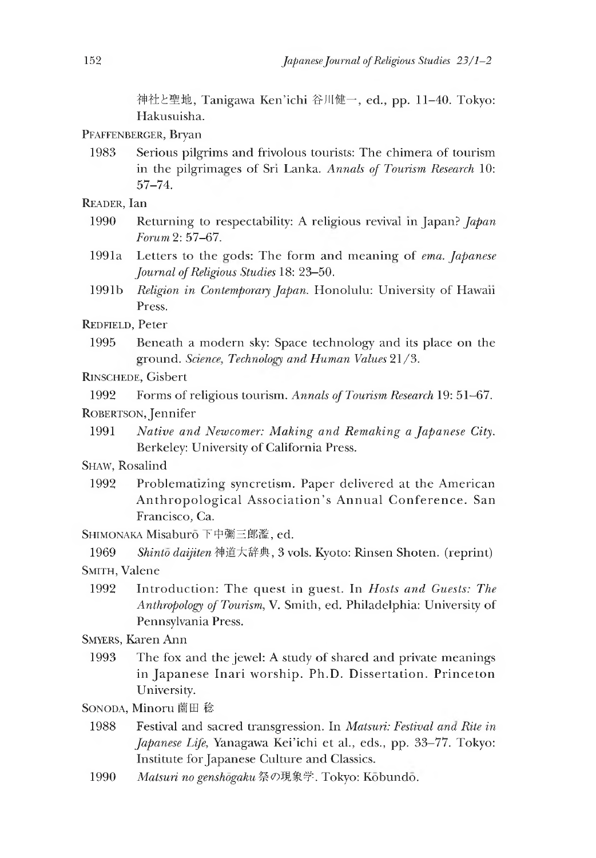神社と聖地, Tanigawa Ken'ichi 谷川健一, ed., pp. 11-40. Tokyo: Hakusuisha.

Pfaffenberger, Bryan

1983 Serious pilgrims and frivolous tourists: The chimera of tourism in the pilgrimages of Sri Lanka. *Annals of Tourism Research* 10: 57-74.

Reader, Ian

- 1990 Returning to respectability: A religious revival in Japan? *Japan Forum* 2: 57-67.
- 1991a Letters to the gods: The form and meaning of *ema. Japanese Journal of Religious Studies* 18: 23-50.
- 1991b *Religion in Contemporary Japan.* Honolulu: University of Hawaii Press.

Redfield, Peter

1995 Beneath a modern sky: Space technology and its place on the ground. *Science, Technology and Human Values* 21/3.

Rinschede, Gisbert

1992 Forms of religious tourism. *Annals of Tourism Research* 19: 51-67. ROBERTSON, Jennifer

1991 *Native and Newcomer: Making and Remaking a Japanese City.* Berkeley: University of California Press.

Shaw, Rosalind

1992 Problematizing syncretism. Paper delivered at the American Anthropological Association's Annual Conference. San Francisco, Ga.

SHIMONAKA Misaburo 下中彌三郎濫, ed.

1969 *Shinto daijiten* 神道大辞典,3 vols. Kyoto: Rinsen Shoten. (reprint) SMITH, Valene

1992 Introduction: The quest in guest. In *Hosts and Guests: The Anthropology of Tourism* V. Smith, ed. Philadelphia: University of Pennsylvania Press.

Smyers, Karen Ann

- 1993 The fox and the jewel:A study of shared and private meanings in Japanese Inari worship. Ph.D. Dissertation. Princeton University.
- SONODA, Minoru 薗田 稔
	- 1988 Festival and sacred transgression. In *Matsuri: Festival and Rite in Japanese Life*, Yanagawa Kei'ichi et al., eds., pp. 33-77. Tokyo: Institute for Japanese Culture and Classics.
	- 1990 *Matsuri no genshōgaku* 祭の現象学. Tokyo: Kōbundō.